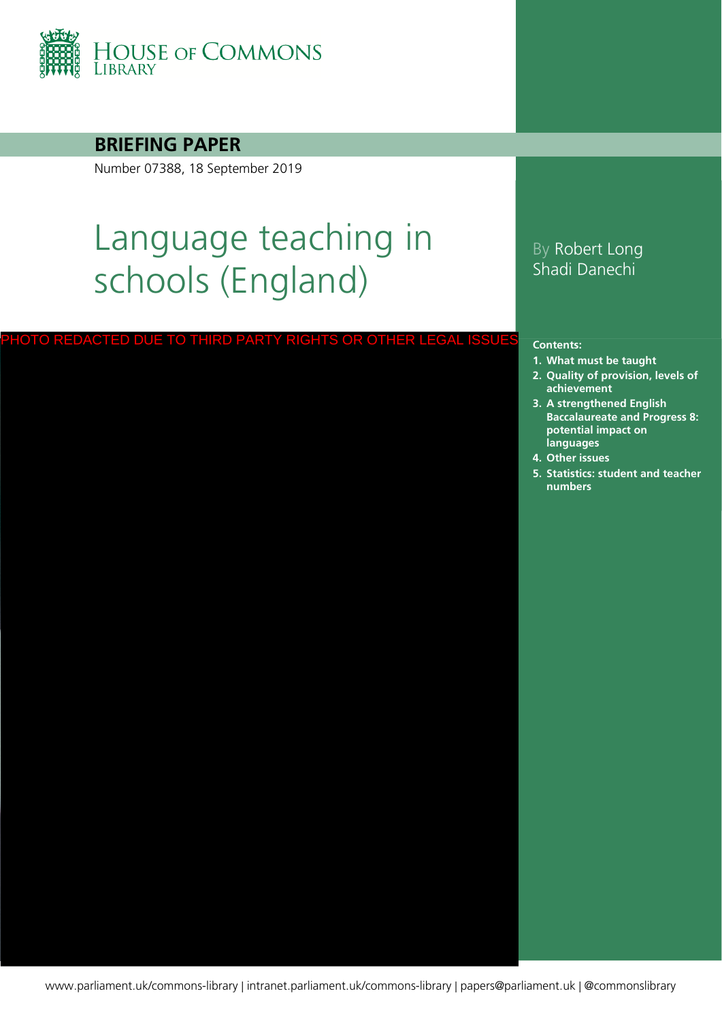

#### **BRIEFING PAPER**

Number 07388, 18 September 2019

# Language teaching in schools (England)

PHOTO REDACTED DUE TO THIRD PARTY RIGHTS OR OTHER LEGAL ISSUE

#### By Robert Long Shadi Danechi

#### **Contents:**

- **1. [What must be taught](#page-3-0)**
- **2. [Quality of provision, levels of](#page-7-0)  achievement**
- **3. [A strengthened English](#page-17-0)  Baccalaureate and Progress 8: potential impact on languages**
- **4. [Other issues](#page-21-0)**
- **5. [Statistics: student and teacher](#page-25-0)  numbers**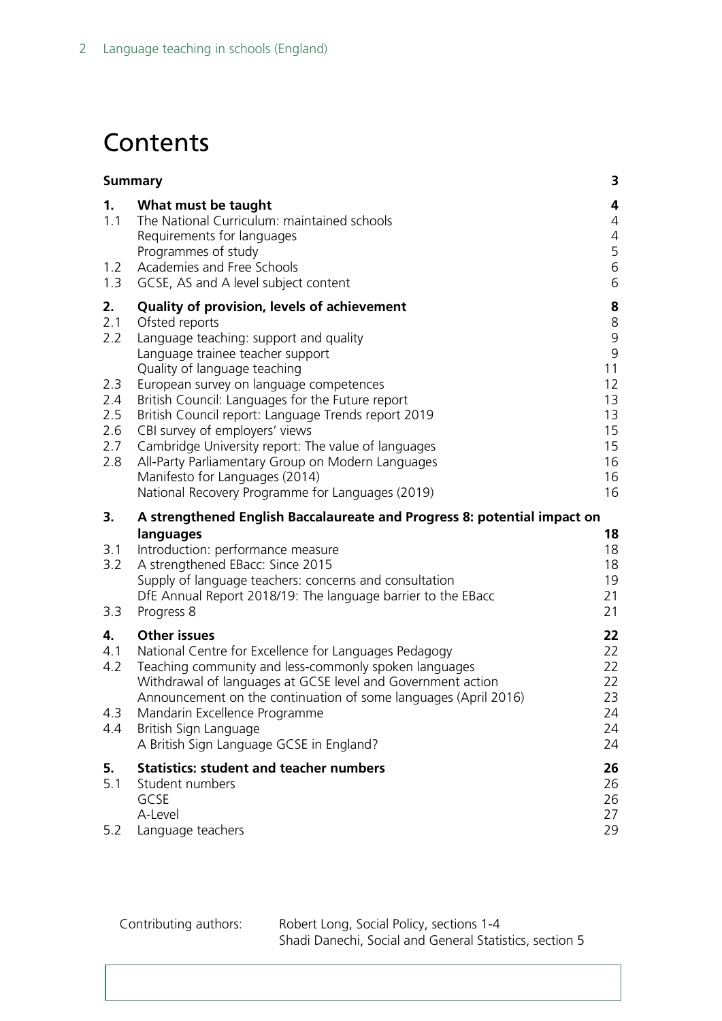# **Contents**

| <b>Summary</b>                                             |                                                                                                                                                                                                                                                                                                                                                                                                                                                                                                                                                                       | 3                                                                                      |
|------------------------------------------------------------|-----------------------------------------------------------------------------------------------------------------------------------------------------------------------------------------------------------------------------------------------------------------------------------------------------------------------------------------------------------------------------------------------------------------------------------------------------------------------------------------------------------------------------------------------------------------------|----------------------------------------------------------------------------------------|
| 1.<br>1.1<br>1.2<br>1.3                                    | What must be taught<br>The National Curriculum: maintained schools<br>Requirements for languages<br>Programmes of study<br>Academies and Free Schools<br>GCSE, AS and A level subject content                                                                                                                                                                                                                                                                                                                                                                         | 4<br>4<br>4<br>5<br>6<br>6                                                             |
| 2.<br>2.1<br>2.2<br>2.3<br>2.4<br>2.5<br>2.6<br>2.7<br>2.8 | Quality of provision, levels of achievement<br>Ofsted reports<br>Language teaching: support and quality<br>Language trainee teacher support<br>Quality of language teaching<br>European survey on language competences<br>British Council: Languages for the Future report<br>British Council report: Language Trends report 2019<br>CBI survey of employers' views<br>Cambridge University report: The value of languages<br>All-Party Parliamentary Group on Modern Languages<br>Manifesto for Languages (2014)<br>National Recovery Programme for Languages (2019) | 8<br>$\,8\,$<br>$\mathsf 9$<br>9<br>11<br>12<br>13<br>13<br>15<br>15<br>16<br>16<br>16 |
| 3.                                                         | A strengthened English Baccalaureate and Progress 8: potential impact on                                                                                                                                                                                                                                                                                                                                                                                                                                                                                              |                                                                                        |
| 3.1<br>3.2<br>3.3                                          | languages<br>Introduction: performance measure<br>A strengthened EBacc: Since 2015<br>Supply of language teachers: concerns and consultation<br>DfE Annual Report 2018/19: The language barrier to the EBacc<br>Progress 8                                                                                                                                                                                                                                                                                                                                            | 18<br>18<br>18<br>19<br>21<br>21                                                       |
| 4.<br>4.1<br>4.2<br>4.3<br>4.4                             | <b>Other issues</b><br>National Centre for Excellence for Languages Pedagogy<br>Teaching community and less-commonly spoken languages<br>Withdrawal of languages at GCSE level and Government action<br>Announcement on the continuation of some languages (April 2016)<br>Mandarin Excellence Programme<br>British Sign Language<br>A British Sign Language GCSE in England?                                                                                                                                                                                         | 22<br>22<br>22<br>22<br>23<br>24<br>24<br>24                                           |
| 5.<br>5.1<br>5.2                                           | <b>Statistics: student and teacher numbers</b><br>Student numbers<br>GCSE<br>A-Level<br>Language teachers                                                                                                                                                                                                                                                                                                                                                                                                                                                             | 26<br>26<br>26<br>27<br>29                                                             |

Contributing authors: Robert Long, Social Policy, sections 1-4 Shadi Danechi, Social and General Statistics, section 5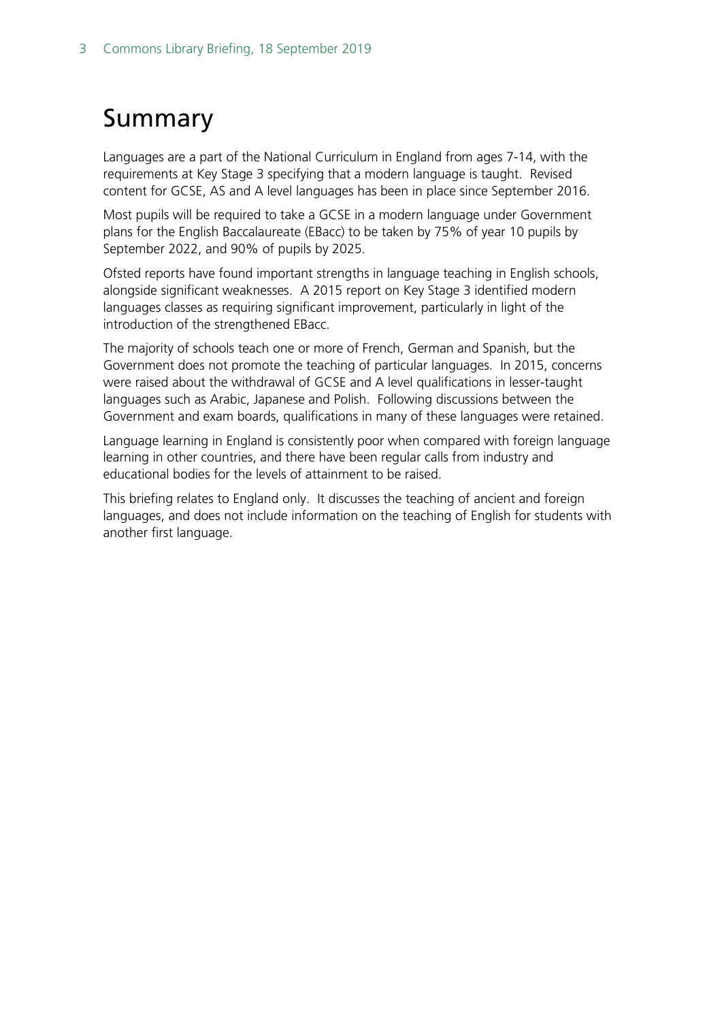# <span id="page-2-0"></span>Summary

Languages are a part of the National Curriculum in England from ages 7-14, with the requirements at Key Stage 3 specifying that a modern language is taught. Revised content for GCSE, AS and A level languages has been in place since September 2016.

Most pupils will be required to take a GCSE in a modern language under Government plans for the English Baccalaureate (EBacc) to be taken by 75% of year 10 pupils by September 2022, and 90% of pupils by 2025.

Ofsted reports have found important strengths in language teaching in English schools, alongside significant weaknesses. A 2015 report on Key Stage 3 identified modern languages classes as requiring significant improvement, particularly in light of the introduction of the strengthened EBacc.

The majority of schools teach one or more of French, German and Spanish, but the Government does not promote the teaching of particular languages. In 2015, concerns were raised about the withdrawal of GCSE and A level qualifications in lesser-taught languages such as Arabic, Japanese and Polish. Following discussions between the Government and exam boards, qualifications in many of these languages were retained.

Language learning in England is consistently poor when compared with foreign language learning in other countries, and there have been regular calls from industry and educational bodies for the levels of attainment to be raised.

This briefing relates to England only. It discusses the teaching of ancient and foreign languages, and does not include information on the teaching of English for students with another first language.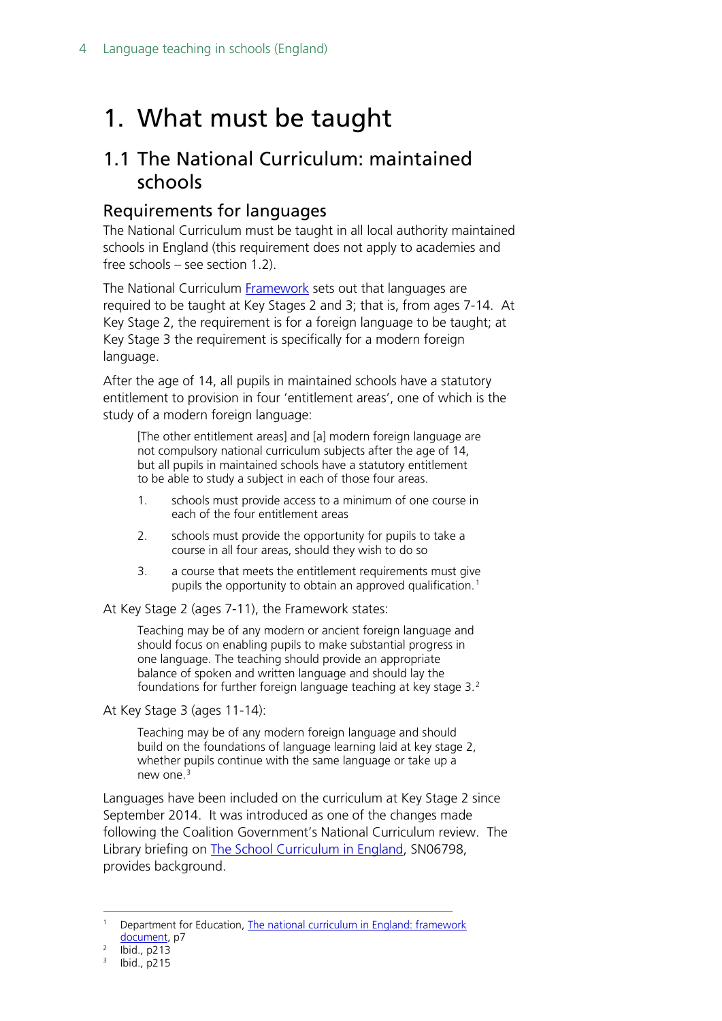# <span id="page-3-0"></span>1. What must be taught

### <span id="page-3-1"></span>1.1 The National Curriculum: maintained schools

#### <span id="page-3-2"></span>Requirements for languages

The National Curriculum must be taught in all local authority maintained schools in England (this requirement does not apply to academies and free schools – see section 1.2).

The National Curriculum [Framework](https://www.gov.uk/government/uploads/system/uploads/attachment_data/file/210969/NC_framework_document_-_FINAL.pdf) sets out that languages are required to be taught at Key Stages 2 and 3; that is, from ages 7-14. At Key Stage 2, the requirement is for a foreign language to be taught; at Key Stage 3 the requirement is specifically for a modern foreign language.

After the age of 14, all pupils in maintained schools have a statutory entitlement to provision in four 'entitlement areas', one of which is the study of a modern foreign language:

[The other entitlement areas] and [a] modern foreign language are not compulsory national curriculum subjects after the age of 14, but all pupils in maintained schools have a statutory entitlement to be able to study a subject in each of those four areas.

- 1. schools must provide access to a minimum of one course in each of the four entitlement areas
- 2. schools must provide the opportunity for pupils to take a course in all four areas, should they wish to do so
- 3. a course that meets the entitlement requirements must give pupils the opportunity to obtain an approved qualification.<sup>[1](#page-3-3)</sup>

At Key Stage 2 (ages 7-11), the Framework states:

Teaching may be of any modern or ancient foreign language and should focus on enabling pupils to make substantial progress in one language. The teaching should provide an appropriate balance of spoken and written language and should lay the foundations for further foreign language teaching at key stage 3.[2](#page-3-4)

At Key Stage 3 (ages 11-14):

Teaching may be of any modern foreign language and should build on the foundations of language learning laid at key stage 2, whether pupils continue with the same language or take up a new one.[3](#page-3-5)

Languages have been included on the curriculum at Key Stage 2 since September 2014. It was introduced as one of the changes made following the Coalition Government's National Curriculum review. The Library briefing on The School [Curriculum in England,](https://researchbriefings.parliament.uk/ResearchBriefing/Summary/SN06798) SN06798, provides background.

<span id="page-3-3"></span> <sup>1</sup> Department for Education, [The national curriculum in England: framework](https://www.gov.uk/government/uploads/system/uploads/attachment_data/file/210969/NC_framework_document_-_FINAL.pdf)  [document,](https://www.gov.uk/government/uploads/system/uploads/attachment_data/file/210969/NC_framework_document_-_FINAL.pdf) p7

<span id="page-3-5"></span><span id="page-3-4"></span><sup>2</sup> Ibid., p213

<sup>3</sup> Ibid., p215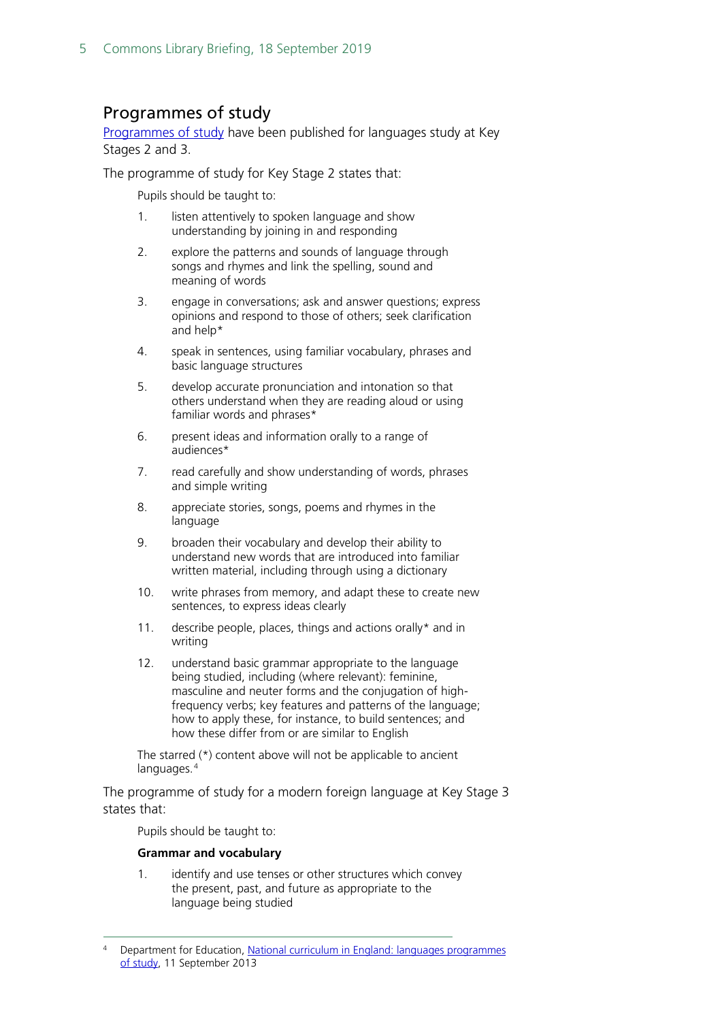#### <span id="page-4-0"></span>Programmes of study

[Programmes of study](https://www.gov.uk/government/publications/national-curriculum-in-england-languages-progammes-of-study/national-curriculum-in-england-languages-progammes-of-study) have been published for languages study at Key Stages 2 and 3.

The programme of study for Key Stage 2 states that:

Pupils should be taught to:

- 1. listen attentively to spoken language and show understanding by joining in and responding
- 2. explore the patterns and sounds of language through songs and rhymes and link the spelling, sound and meaning of words
- 3. engage in conversations; ask and answer questions; express opinions and respond to those of others; seek clarification and help\*
- 4. speak in sentences, using familiar vocabulary, phrases and basic language structures
- 5. develop accurate pronunciation and intonation so that others understand when they are reading aloud or using familiar words and phrases\*
- 6. present ideas and information orally to a range of audiences\*
- 7. read carefully and show understanding of words, phrases and simple writing
- 8. appreciate stories, songs, poems and rhymes in the language
- 9. broaden their vocabulary and develop their ability to understand new words that are introduced into familiar written material, including through using a dictionary
- 10. write phrases from memory, and adapt these to create new sentences, to express ideas clearly
- 11. describe people, places, things and actions orally\* and in writing
- 12. understand basic grammar appropriate to the language being studied, including (where relevant): feminine, masculine and neuter forms and the conjugation of highfrequency verbs; key features and patterns of the language; how to apply these, for instance, to build sentences; and how these differ from or are similar to English

The starred (\*) content above will not be applicable to ancient languages.<sup>[4](#page-4-1)</sup>

The programme of study for a modern foreign language at Key Stage 3 states that:

Pupils should be taught to:

#### **Grammar and vocabulary**

1. identify and use tenses or other structures which convey the present, past, and future as appropriate to the language being studied

<span id="page-4-1"></span> <sup>4</sup> Department for Education, [National curriculum in England: languages programmes](https://www.gov.uk/government/publications/national-curriculum-in-england-languages-progammes-of-study/national-curriculum-in-england-languages-progammes-of-study)  [of study,](https://www.gov.uk/government/publications/national-curriculum-in-england-languages-progammes-of-study/national-curriculum-in-england-languages-progammes-of-study) 11 September 2013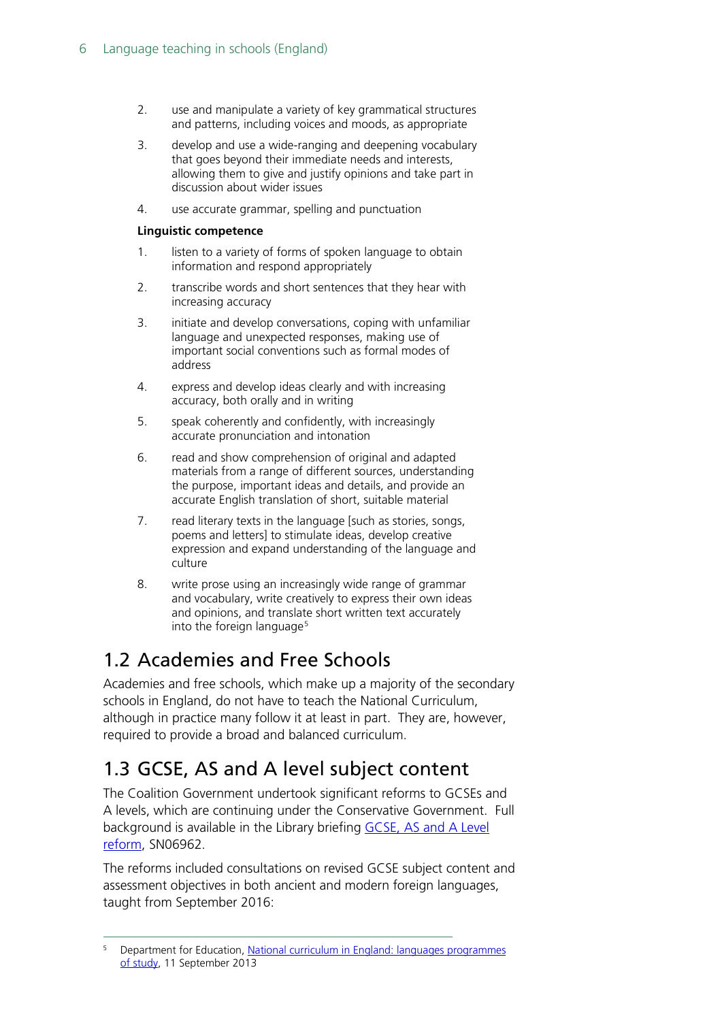- 2. use and manipulate a variety of key grammatical structures and patterns, including voices and moods, as appropriate
- 3. develop and use a wide-ranging and deepening vocabulary that goes beyond their immediate needs and interests, allowing them to give and justify opinions and take part in discussion about wider issues
- 4. use accurate grammar, spelling and punctuation

#### **Linguistic competence**

- 1. listen to a variety of forms of spoken language to obtain information and respond appropriately
- 2. transcribe words and short sentences that they hear with increasing accuracy
- 3. initiate and develop conversations, coping with unfamiliar language and unexpected responses, making use of important social conventions such as formal modes of address
- 4. express and develop ideas clearly and with increasing accuracy, both orally and in writing
- 5. speak coherently and confidently, with increasingly accurate pronunciation and intonation
- 6. read and show comprehension of original and adapted materials from a range of different sources, understanding the purpose, important ideas and details, and provide an accurate English translation of short, suitable material
- 7. read literary texts in the language [such as stories, songs, poems and letters] to stimulate ideas, develop creative expression and expand understanding of the language and culture
- 8. write prose using an increasingly wide range of grammar and vocabulary, write creatively to express their own ideas and opinions, and translate short written text accurately into the foreign language<sup>[5](#page-5-2)</sup>

## <span id="page-5-0"></span>1.2 Academies and Free Schools

Academies and free schools, which make up a majority of the secondary schools in England, do not have to teach the National Curriculum, although in practice many follow it at least in part. They are, however, required to provide a broad and balanced curriculum.

## <span id="page-5-1"></span>1.3 GCSE, AS and A level subject content

The Coalition Government undertook significant reforms to GCSEs and A levels, which are continuing under the Conservative Government. Full background is available in the Library briefing **GCSE, AS and A Level** [reform,](http://researchbriefings.parliament.uk/ResearchBriefing/Summary/SN06962) SN06962.

The reforms included consultations on revised GCSE subject content and assessment objectives in both ancient and modern foreign languages, taught from September 2016:

<span id="page-5-2"></span> <sup>5</sup> Department for Education, [National curriculum in England: languages programmes](https://www.gov.uk/government/publications/national-curriculum-in-england-languages-progammes-of-study/national-curriculum-in-england-languages-progammes-of-study)  [of study,](https://www.gov.uk/government/publications/national-curriculum-in-england-languages-progammes-of-study/national-curriculum-in-england-languages-progammes-of-study) 11 September 2013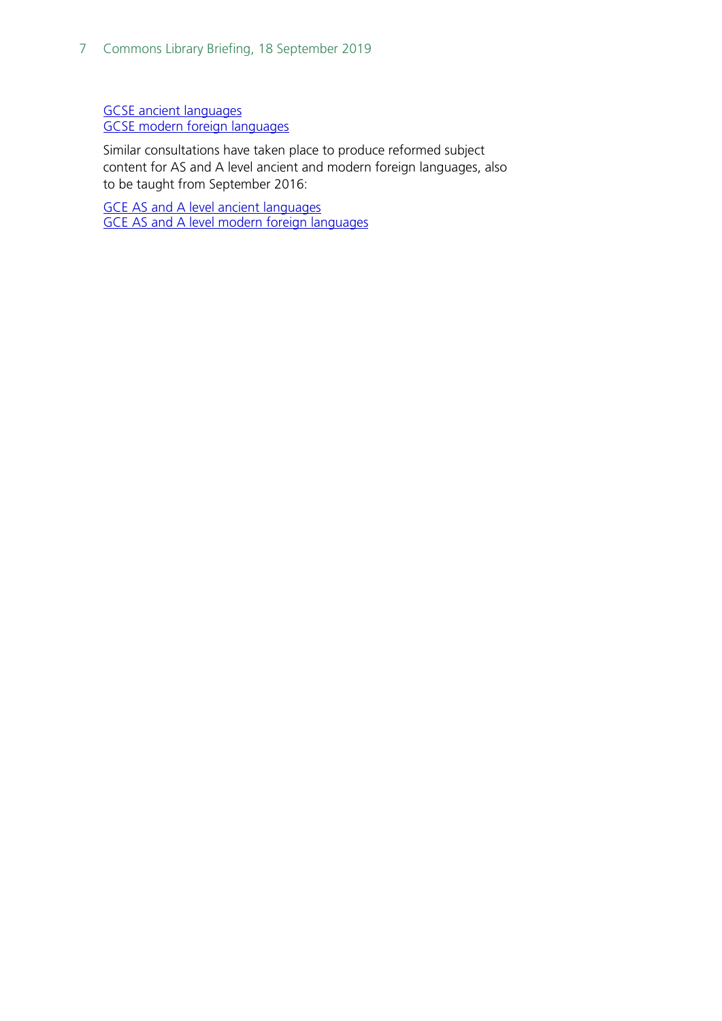[GCSE ancient](https://www.gov.uk/government/publications/gcse-ancient-foreign-languages) languages [GCSE modern foreign languages](https://www.gov.uk/government/publications/gcse-modern-foreign-languages)

Similar consultations have taken place to produce reformed subject content for AS and A level ancient and modern foreign languages, also to be taught from September 2016:

[GCE AS and A level ancient languages](https://www.gov.uk/government/publications/gce-as-and-a-level-ancient-languages) [GCE AS and A level modern foreign languages](https://www.gov.uk/government/publications/gce-as-and-a-level-modern-foreign-languages)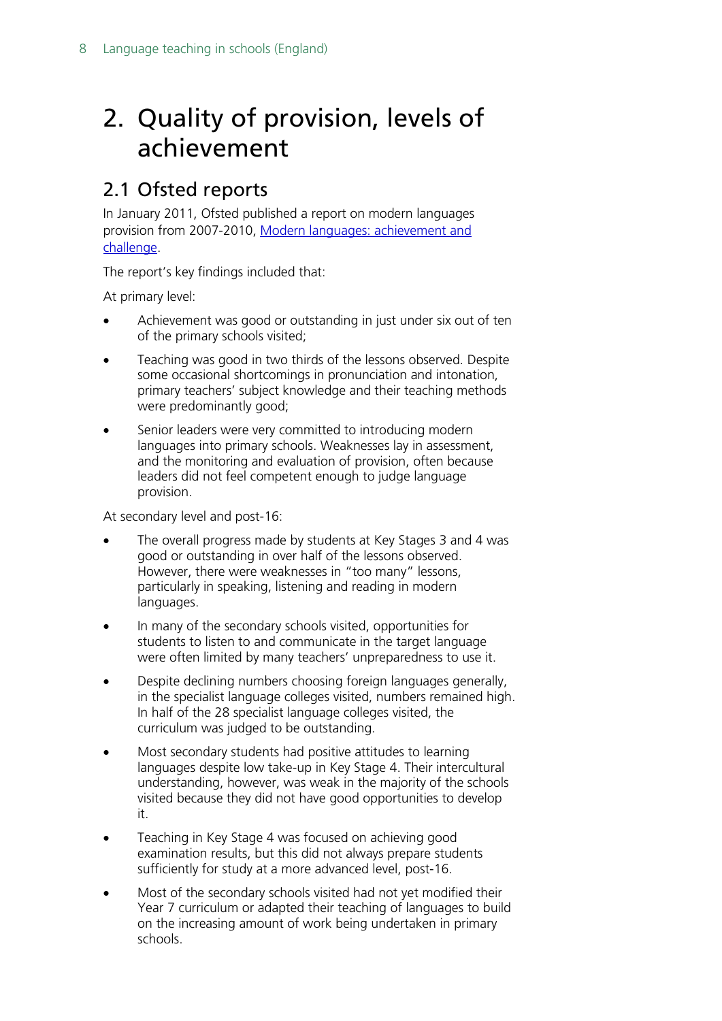# <span id="page-7-0"></span>2. Quality of provision, levels of achievement

### <span id="page-7-1"></span>2.1 Ofsted reports

In January 2011, Ofsted published a report on modern languages provision from 2007-2010, [Modern languages: achievement and](https://www.gov.uk/government/uploads/system/uploads/attachment_data/file/413782/Modern_languages_achievement_and_challenge_2007-2010.pdf)  [challenge.](https://www.gov.uk/government/uploads/system/uploads/attachment_data/file/413782/Modern_languages_achievement_and_challenge_2007-2010.pdf)

The report's key findings included that:

At primary level:

- Achievement was good or outstanding in just under six out of ten of the primary schools visited;
- Teaching was good in two thirds of the lessons observed. Despite some occasional shortcomings in pronunciation and intonation, primary teachers' subject knowledge and their teaching methods were predominantly good;
- Senior leaders were very committed to introducing modern languages into primary schools. Weaknesses lay in assessment, and the monitoring and evaluation of provision, often because leaders did not feel competent enough to judge language provision.

At secondary level and post-16:

- The overall progress made by students at Key Stages 3 and 4 was good or outstanding in over half of the lessons observed. However, there were weaknesses in "too many" lessons, particularly in speaking, listening and reading in modern languages.
- In many of the secondary schools visited, opportunities for students to listen to and communicate in the target language were often limited by many teachers' unpreparedness to use it.
- Despite declining numbers choosing foreign languages generally, in the specialist language colleges visited, numbers remained high. In half of the 28 specialist language colleges visited, the curriculum was judged to be outstanding.
- Most secondary students had positive attitudes to learning languages despite low take-up in Key Stage 4. Their intercultural understanding, however, was weak in the majority of the schools visited because they did not have good opportunities to develop it.
- Teaching in Key Stage 4 was focused on achieving good examination results, but this did not always prepare students sufficiently for study at a more advanced level, post-16.
- Most of the secondary schools visited had not yet modified their Year 7 curriculum or adapted their teaching of languages to build on the increasing amount of work being undertaken in primary schools.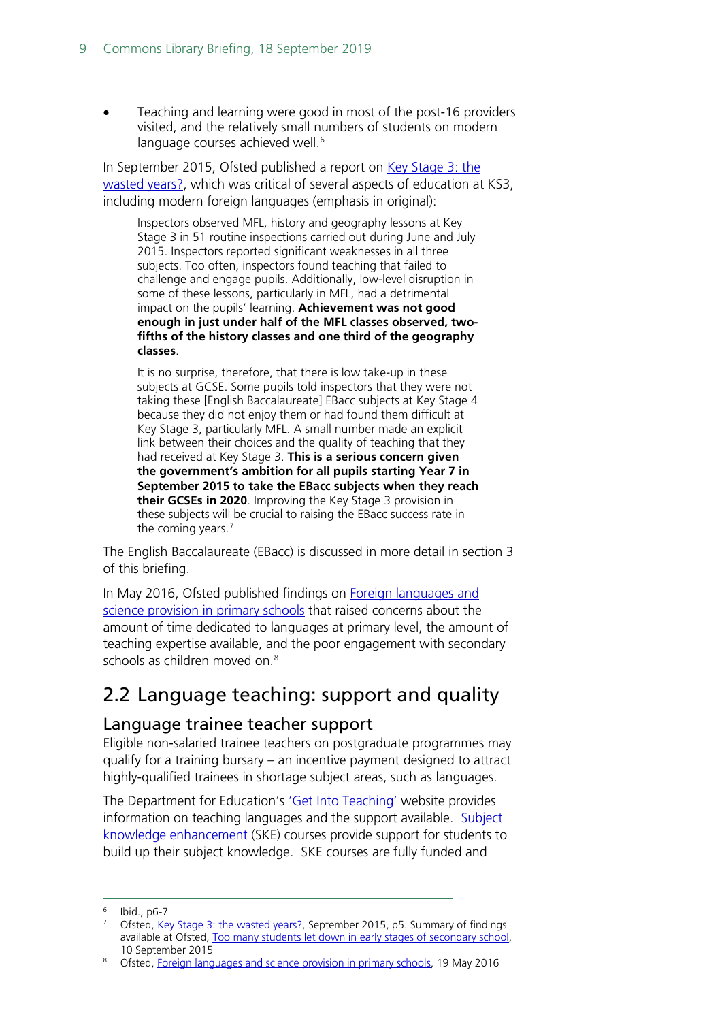• Teaching and learning were good in most of the post-16 providers visited, and the relatively small numbers of students on modern language courses achieved well.<sup>[6](#page-8-2)</sup>

In September 2015, Ofsted published a report on [Key Stage 3: the](https://www.gov.uk/government/uploads/system/uploads/attachment_data/file/459830/Key_Stage_3_the_wasted_years.pdf)  [wasted years?,](https://www.gov.uk/government/uploads/system/uploads/attachment_data/file/459830/Key_Stage_3_the_wasted_years.pdf) which was critical of several aspects of education at KS3, including modern foreign languages (emphasis in original):

Inspectors observed MFL, history and geography lessons at Key Stage 3 in 51 routine inspections carried out during June and July 2015. Inspectors reported significant weaknesses in all three subjects. Too often, inspectors found teaching that failed to challenge and engage pupils. Additionally, low-level disruption in some of these lessons, particularly in MFL, had a detrimental impact on the pupils' learning. **Achievement was not good enough in just under half of the MFL classes observed, twofifths of the history classes and one third of the geography classes**.

It is no surprise, therefore, that there is low take-up in these subjects at GCSE. Some pupils told inspectors that they were not taking these [English Baccalaureate] EBacc subjects at Key Stage 4 because they did not enjoy them or had found them difficult at Key Stage 3, particularly MFL. A small number made an explicit link between their choices and the quality of teaching that they had received at Key Stage 3. **This is a serious concern given the government's ambition for all pupils starting Year 7 in September 2015 to take the EBacc subjects when they reach their GCSEs in 2020**. Improving the Key Stage 3 provision in these subjects will be crucial to raising the EBacc success rate in the coming years.<sup>[7](#page-8-3)</sup>

The English Baccalaureate (EBacc) is discussed in more detail in section 3 of this briefing.

In May 2016, Ofsted published findings on [Foreign languages and](https://www.gov.uk/government/publications/foreign-languages-and-science-provision-in-primary-schools)  [science provision in primary schools](https://www.gov.uk/government/publications/foreign-languages-and-science-provision-in-primary-schools) that raised concerns about the amount of time dedicated to languages at primary level, the amount of teaching expertise available, and the poor engagement with secondary schools as children moved on.<sup>[8](#page-8-4)</sup>

# <span id="page-8-0"></span>2.2 Language teaching: support and quality

#### <span id="page-8-1"></span>Language trainee teacher support

Eligible non-salaried trainee teachers on postgraduate programmes may qualify for a training bursary – an incentive payment designed to attract highly-qualified trainees in shortage subject areas, such as languages.

The Department for Education's ['Get Into Teaching'](https://getintoteaching.education.gov.uk/explore-my-options/teach-languages) website provides information on teaching languages and the support available. [Subject](https://getintoteaching.education.gov.uk/subject-knowledge-enhancement-ske-courses)  [knowledge enhancement](https://getintoteaching.education.gov.uk/subject-knowledge-enhancement-ske-courses) (SKE) courses provide support for students to build up their subject knowledge. SKE courses are fully funded and

<span id="page-8-3"></span><span id="page-8-2"></span> $6$  Ibid., p6-7

<sup>7</sup> Ofsted, [Key Stage 3: the wasted years?,](https://www.gov.uk/government/publications/key-stage-3-the-wasted-years) September 2015, p5. Summary of findings available at Ofsted, [Too many students let down in early stages of secondary school,](https://www.gov.uk/government/news/too-many-students-let-down-in-early-stages-of-secondary-school) 10 September 2015

<span id="page-8-4"></span><sup>8</sup> Ofsted, [Foreign languages and science provision in primary schools,](https://www.gov.uk/government/publications/foreign-languages-and-science-provision-in-primary-schools) 19 May 2016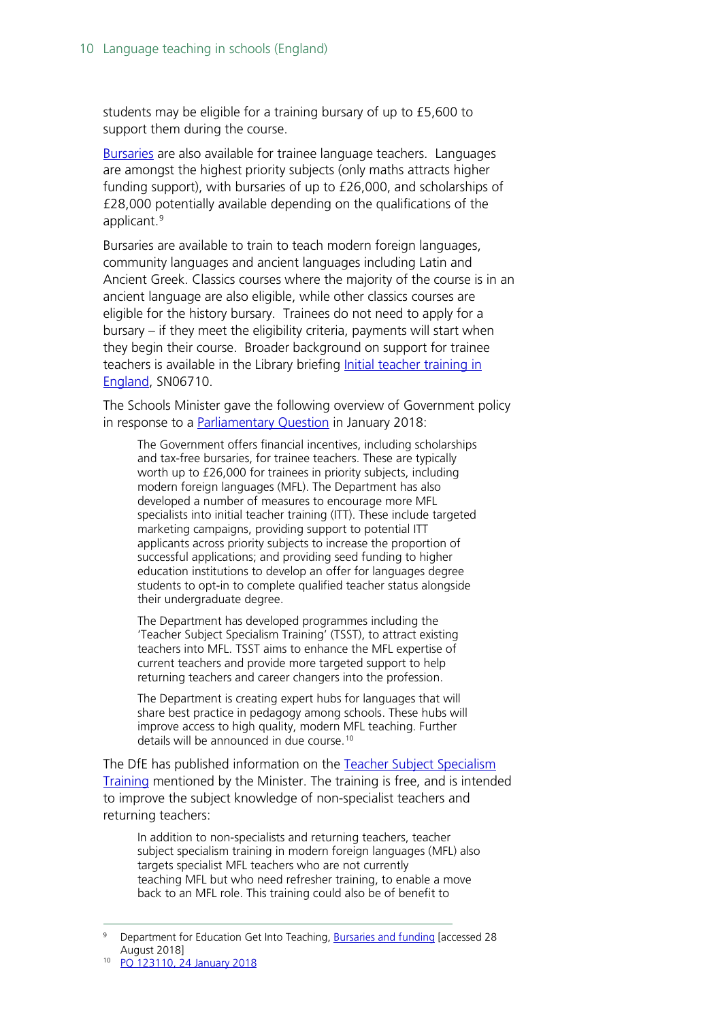students may be eligible for a training bursary of up to £5,600 to support them during the course.

[Bursaries](https://getintoteaching.education.gov.uk/explore-my-options/funding-for-training-to-teach-languages) are also available for trainee language teachers. Languages are amongst the highest priority subjects (only maths attracts higher funding support), with bursaries of up to £26,000, and scholarships of £28,000 potentially available depending on the qualifications of the applicant.<sup>[9](#page-9-0)</sup>

Bursaries are available to train to teach modern foreign languages, community languages and ancient languages including Latin and Ancient Greek. Classics courses where the majority of the course is in an ancient language are also eligible, while other classics courses are eligible for the history bursary. Trainees do not need to apply for a bursary – if they meet the eligibility criteria, payments will start when they begin their course. Broader background on support for trainee teachers is available in the Library briefing [Initial teacher training in](http://researchbriefings.parliament.uk/ResearchBriefing/Summary/SN06710)  [England,](http://researchbriefings.parliament.uk/ResearchBriefing/Summary/SN06710) SN06710.

The Schools Minister gave the following overview of Government policy in response to a [Parliamentary Question](https://www.parliament.uk/written-questions-answers-statements/written-question/commons/2018-01-16/123110) in January 2018:

The Government offers financial incentives, including scholarships and tax-free bursaries, for trainee teachers. These are typically worth up to £26,000 for trainees in priority subjects, including modern foreign languages (MFL). The Department has also developed a number of measures to encourage more MFL specialists into initial teacher training (ITT). These include targeted marketing campaigns, providing support to potential ITT applicants across priority subjects to increase the proportion of successful applications; and providing seed funding to higher education institutions to develop an offer for languages degree students to opt-in to complete qualified teacher status alongside their undergraduate degree.

The Department has developed programmes including the 'Teacher Subject Specialism Training' (TSST), to attract existing teachers into MFL. TSST aims to enhance the MFL expertise of current teachers and provide more targeted support to help returning teachers and career changers into the profession.

The Department is creating expert hubs for languages that will share best practice in pedagogy among schools. These hubs will improve access to high quality, modern MFL teaching. Further details will be announced in due course.[10](#page-9-1)

The DfE has published information on the Teacher Subject Specialism [Training](https://www.gov.uk/guidance/teacher-subject-specialism-training-courses) mentioned by the Minister. The training is free, and is intended to improve the subject knowledge of non-specialist teachers and returning teachers:

In addition to non-specialists and returning teachers, teacher subject specialism training in modern foreign languages (MFL) also targets specialist MFL teachers who are not currently teaching MFL but who need refresher training, to enable a move back to an MFL role. This training could also be of benefit to

<span id="page-9-0"></span> <sup>9</sup> Department for Education Get Into Teaching, [Bursaries and funding](https://getintoteaching.education.gov.uk/bursaries-and-funding) [accessed 28 August 2018]

<span id="page-9-1"></span>[PQ 123110, 24 January 2018](https://www.parliament.uk/written-questions-answers-statements/written-question/commons/2018-01-16/123110)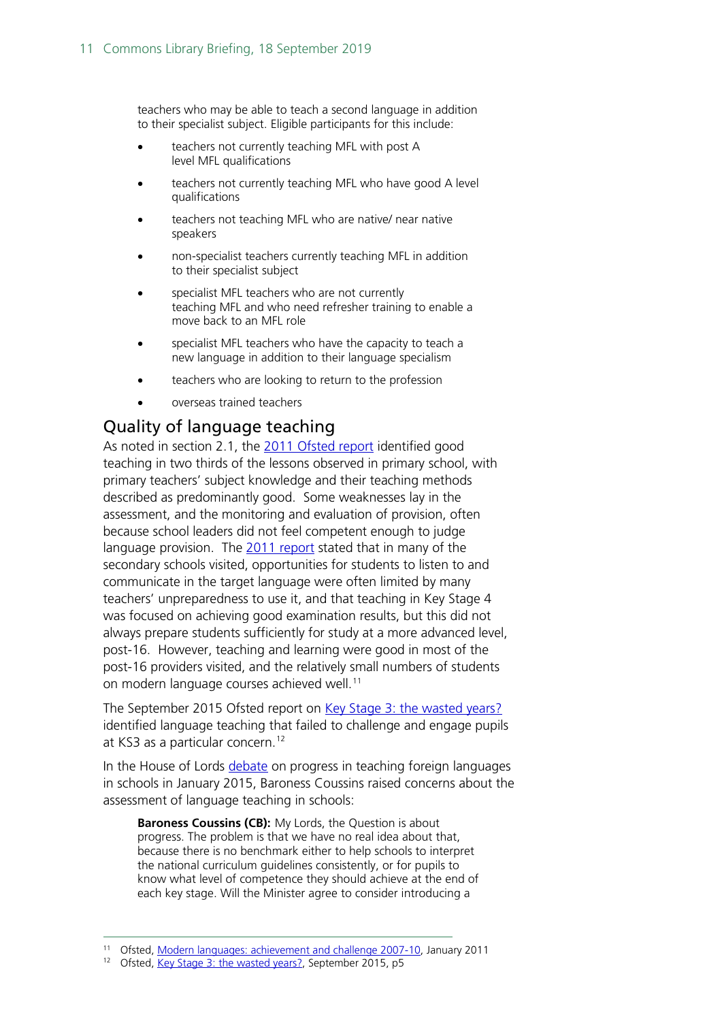teachers who may be able to teach a second language in addition to their specialist subject. Eligible participants for this include:

- teachers not currently teaching MFL with post A level MFL qualifications
- teachers not currently teaching MFL who have good A level qualifications
- teachers not teaching MFL who are native/ near native speakers
- non-specialist teachers currently teaching MFL in addition to their specialist subject
- specialist MFL teachers who are not currently teaching MFL and who need refresher training to enable a move back to an MFL role
- specialist MFL teachers who have the capacity to teach a new language in addition to their language specialism
- teachers who are looking to return to the profession
- overseas trained teachers

#### <span id="page-10-0"></span>Quality of language teaching

As noted in section 2.1, the [2011 Ofsted report](https://www.gov.uk/government/uploads/system/uploads/attachment_data/file/413782/Modern_languages_achievement_and_challenge_2007-2010.pdf) identified good teaching in two thirds of the lessons observed in primary school, with primary teachers' subject knowledge and their teaching methods described as predominantly good. Some weaknesses lay in the assessment, and the monitoring and evaluation of provision, often because school leaders did not feel competent enough to judge language provision. The [2011 report](https://www.gov.uk/government/uploads/system/uploads/attachment_data/file/413782/Modern_languages_achievement_and_challenge_2007-2010.pdf) stated that in many of the secondary schools visited, opportunities for students to listen to and communicate in the target language were often limited by many teachers' unpreparedness to use it, and that teaching in Key Stage 4 was focused on achieving good examination results, but this did not always prepare students sufficiently for study at a more advanced level, post-16. However, teaching and learning were good in most of the post-16 providers visited, and the relatively small numbers of students on modern language courses achieved well.<sup>[11](#page-10-1)</sup>

The September 2015 Ofsted report on [Key Stage 3: the wasted years?](https://www.gov.uk/government/uploads/system/uploads/attachment_data/file/459830/Key_Stage_3_the_wasted_years.pdf) identified language teaching that failed to challenge and engage pupils at KS3 as a particular concern.<sup>[12](#page-10-2)</sup>

In the House of Lords [debate](http://www.publications.parliament.uk/pa/ld201415/ldhansrd/text/150126-0001.htm#15012613000051) on progress in teaching foreign languages in schools in January 2015, Baroness Coussins raised concerns about the assessment of language teaching in schools:

**Baroness Coussins (CB):** My Lords, the Question is about progress. The problem is that we have no real idea about that, because there is no benchmark either to help schools to interpret the national curriculum guidelines consistently, or for pupils to know what level of competence they should achieve at the end of each key stage. Will the Minister agree to consider introducing a

<span id="page-10-2"></span><span id="page-10-1"></span><sup>11</sup> Ofsted, [Modern languages: achievement and challenge 2007-10,](https://www.gov.uk/government/uploads/system/uploads/attachment_data/file/413782/Modern_languages_achievement_and_challenge_2007-2010.pdf) January 2011

<sup>12</sup> Ofsted, [Key Stage 3: the wasted years?,](https://www.gov.uk/government/publications/key-stage-3-the-wasted-years) September 2015, p5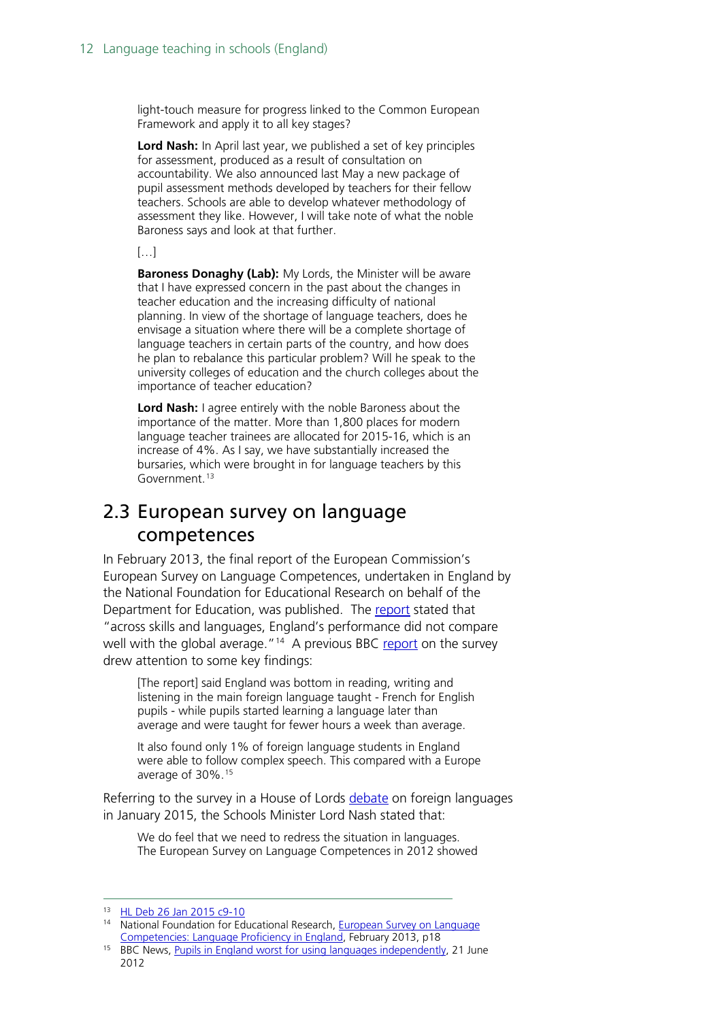light-touch measure for progress linked to the Common European Framework and apply it to all key stages?

**Lord Nash:** In April last year, we published a set of key principles for assessment, produced as a result of consultation on accountability. We also announced last May a new package of pupil assessment methods developed by teachers for their fellow teachers. Schools are able to develop whatever methodology of assessment they like. However, I will take note of what the noble Baroness says and look at that further.

[…]

**Baroness Donaghy (Lab):** My Lords, the Minister will be aware that I have expressed concern in the past about the changes in teacher education and the increasing difficulty of national planning. In view of the shortage of language teachers, does he envisage a situation where there will be a complete shortage of language teachers in certain parts of the country, and how does he plan to rebalance this particular problem? Will he speak to the university colleges of education and the church colleges about the importance of teacher education?

**Lord Nash:** I agree entirely with the noble Baroness about the importance of the matter. More than 1,800 places for modern language teacher trainees are allocated for 2015-16, which is an increase of 4%. As I say, we have substantially increased the bursaries, which were brought in for language teachers by this Government.<sup>[13](#page-11-1)</sup>

### <span id="page-11-0"></span>2.3 European survey on language competences

In February 2013, the final report of the European Commission's European Survey on Language Competences, undertaken in England by the National Foundation for Educational Research on behalf of the Department for Education, was published. The [report](https://www.gov.uk/government/publications/european-survey-on-language-competences-language-proficiency-in-england) stated that "across skills and languages, England's performance did not compare well with the global average."<sup>14</sup> A previous BBC [report](http://www.bbc.co.uk/news/education-18531751) on the survey drew attention to some key findings:

[The report] said England was bottom in reading, writing and listening in the main foreign language taught - French for English pupils - while pupils started learning a language later than average and were taught for fewer hours a week than average.

It also found only 1% of foreign language students in England were able to follow complex speech. This compared with a Europe average of 30%.[15](#page-11-3)

Referring to the survey in a House of Lords [debate](http://www.publications.parliament.uk/pa/ld201415/ldhansrd/text/150126-0001.htm#15012613000051) on foreign languages in January 2015, the Schools Minister Lord Nash stated that:

We do feel that we need to redress the situation in languages. The European Survey on Language Competences in 2012 showed

<span id="page-11-1"></span> <sup>13</sup> [HL Deb 26 Jan 2015 c9-](http://www.publications.parliament.uk/pa/ld201415/ldhansrd/text/150126-0001.htm#15012613000051)10

<span id="page-11-2"></span><sup>14</sup> National Foundation for Educational Research, European Survey on Language [Competencies: Language Proficiency in England,](https://www.gov.uk/government/uploads/system/uploads/attachment_data/file/219649/DfE-RR278.pdf) February 2013, p18

<span id="page-11-3"></span><sup>&</sup>lt;sup>15</sup> BBC News, [Pupils in England worst for using languages independently,](http://www.bbc.co.uk/news/education-18531751) 21 June 2012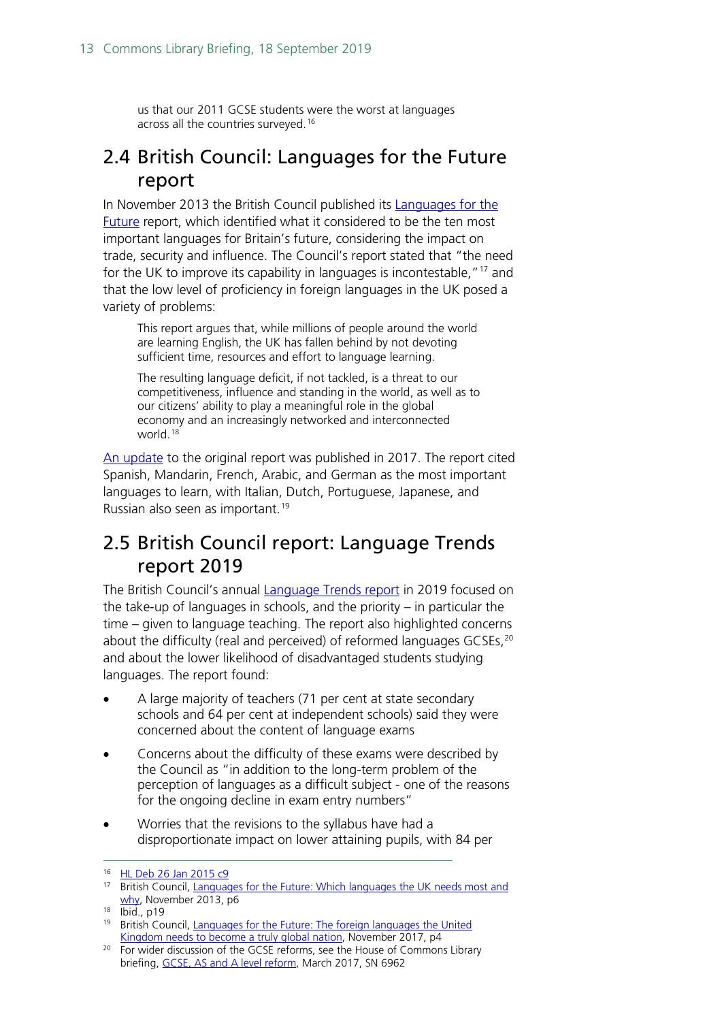us that our 2011 GCSE students were the worst at languages across all the countries surveyed.<sup>[16](#page-12-2)</sup>

### <span id="page-12-0"></span>2.4 British Council: Languages for the Future report

In November 2013 the British Council published its Languages for the [Future](http://www.britishcouncil.org/organisation/policy-insight-research/research/languages-future) report, which identified what it considered to be the ten most important languages for Britain's future, considering the impact on trade, security and influence. The Council's report stated that "the need for the UK to improve its capability in languages is incontestable,"[17](#page-12-3) and that the low level of proficiency in foreign languages in the UK posed a variety of problems:

This report argues that, while millions of people around the world are learning English, the UK has fallen behind by not devoting sufficient time, resources and effort to language learning.

The resulting language deficit, if not tackled, is a threat to our competitiveness, influence and standing in the world, as well as to our citizens' ability to play a meaningful role in the global economy and an increasingly networked and interconnected world<sup>[18](#page-12-4)</sup>

[An update](https://www.britishcouncil.org/organisation/policy-insight-research/languages-future-2017) to the original report was published in 2017. The report cited Spanish, Mandarin, French, Arabic, and German as the most important languages to learn, with Italian, Dutch, Portuguese, Japanese, and Russian also seen as important.[19](#page-12-5)

## <span id="page-12-1"></span>2.5 British Council report: Language Trends report 2019

The British Council's annual [Language Trends report](https://www.britishcouncil.org/research-policy-insight/research-reports/language-trends-2019) in 2019 focused on the take-up of languages in schools, and the priority – in particular the time – given to language teaching. The report also highlighted concerns about the difficulty (real and perceived) of reformed languages GCSEs,<sup>[20](#page-12-6)</sup> and about the lower likelihood of disadvantaged students studying languages. The report found:

- A large majority of teachers (71 per cent at state secondary schools and 64 per cent at independent schools) said they were concerned about the content of language exams
- Concerns about the difficulty of these exams were described by the Council as "in addition to the long-term problem of the perception of languages as a difficult subject - one of the reasons for the ongoing decline in exam entry numbers"
- Worries that the revisions to the syllabus have had a disproportionate impact on lower attaining pupils, with 84 per

<sup>16</sup> [HL Deb 26 Jan 2015 c9](http://www.publications.parliament.uk/pa/ld201415/ldhansrd/text/150126-0001.htm#15012613000051)

<span id="page-12-3"></span><span id="page-12-2"></span><sup>17</sup> British Council, Languages for the Future: Which languages the UK needs most and [why,](http://www.britishcouncil.org/sites/britishcouncil.uk2/files/languages-for-the-future-report-v3.pdf) November 2013, p6

<span id="page-12-4"></span><sup>18</sup> Ibid., p19

<span id="page-12-5"></span><sup>&</sup>lt;sup>19</sup> British Council, Languages for the Future: The foreign languages the United [Kingdom needs to become a truly global nation,](https://www.britishcouncil.org/organisation/policy-insight-research/languages-future-2017) November 2017, p4

<span id="page-12-6"></span><sup>&</sup>lt;sup>20</sup> For wider discussion of the GCSE reforms, see the House of Commons Library briefing, [GCSE, AS and A level reform,](https://researchbriefings.parliament.uk/ResearchBriefing/Summary/SN06962) March 2017, SN 6962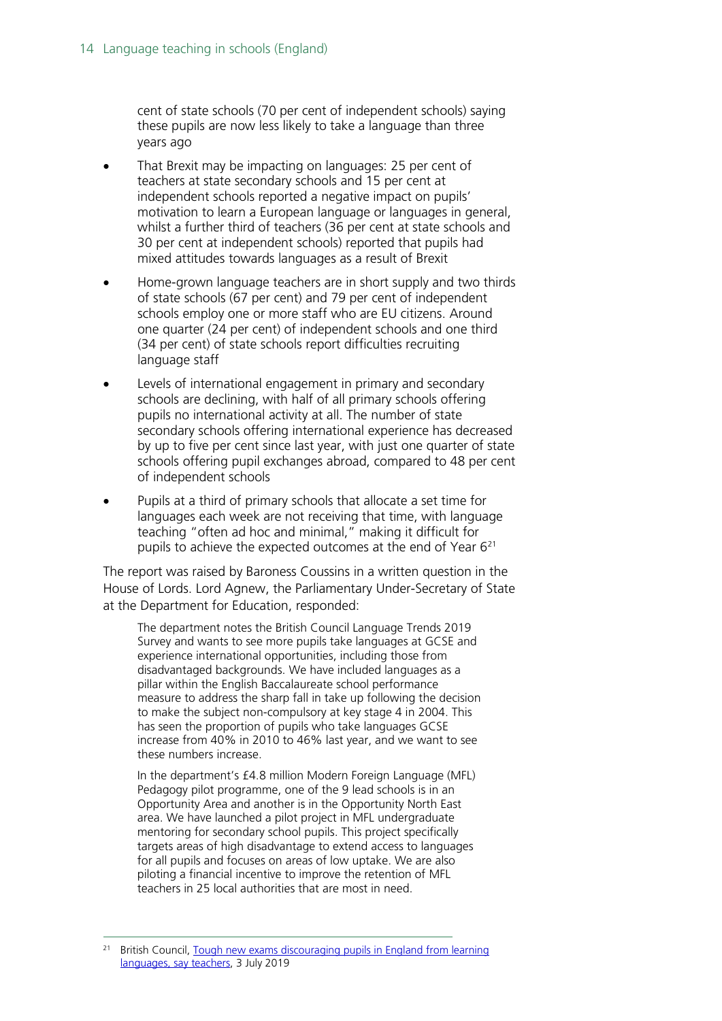cent of state schools (70 per cent of independent schools) saying these pupils are now less likely to take a language than three years ago

- That Brexit may be impacting on languages: 25 per cent of teachers at state secondary schools and 15 per cent at independent schools reported a negative impact on pupils' motivation to learn a European language or languages in general, whilst a further third of teachers (36 per cent at state schools and 30 per cent at independent schools) reported that pupils had mixed attitudes towards languages as a result of Brexit
- Home-grown language teachers are in short supply and two thirds of state schools (67 per cent) and 79 per cent of independent schools employ one or more staff who are EU citizens. Around one quarter (24 per cent) of independent schools and one third (34 per cent) of state schools report difficulties recruiting language staff
- Levels of international engagement in primary and secondary schools are declining, with half of all primary schools offering pupils no international activity at all. The number of state secondary schools offering international experience has decreased by up to five per cent since last year, with just one quarter of state schools offering pupil exchanges abroad, compared to 48 per cent of independent schools
- Pupils at a third of primary schools that allocate a set time for languages each week are not receiving that time, with language teaching "often ad hoc and minimal," making it difficult for pupils to achieve the expected outcomes at the end of Year [621](#page-13-0)

The report was raised by Baroness Coussins in a written question in the House of Lords. Lord Agnew, the Parliamentary Under-Secretary of State at the Department for Education, responded:

The department notes the British Council Language Trends 2019 Survey and wants to see more pupils take languages at GCSE and experience international opportunities, including those from disadvantaged backgrounds. We have included languages as a pillar within the English Baccalaureate school performance measure to address the sharp fall in take up following the decision to make the subject non-compulsory at key stage 4 in 2004. This has seen the proportion of pupils who take languages GCSE increase from 40% in 2010 to 46% last year, and we want to see these numbers increase.

In the department's £4.8 million Modern Foreign Language (MFL) Pedagogy pilot programme, one of the 9 lead schools is in an Opportunity Area and another is in the Opportunity North East area. We have launched a pilot project in MFL undergraduate mentoring for secondary school pupils. This project specifically targets areas of high disadvantage to extend access to languages for all pupils and focuses on areas of low uptake. We are also piloting a financial incentive to improve the retention of MFL teachers in 25 local authorities that are most in need.

<span id="page-13-0"></span>British Council, Tough new exams discouraging pupils in England from learning [languages, say teachers,](https://www.britishcouncil.org/contact/press/tough-new-exams-discouraging-pupils-learning-languages-say-teachers) 3 July 2019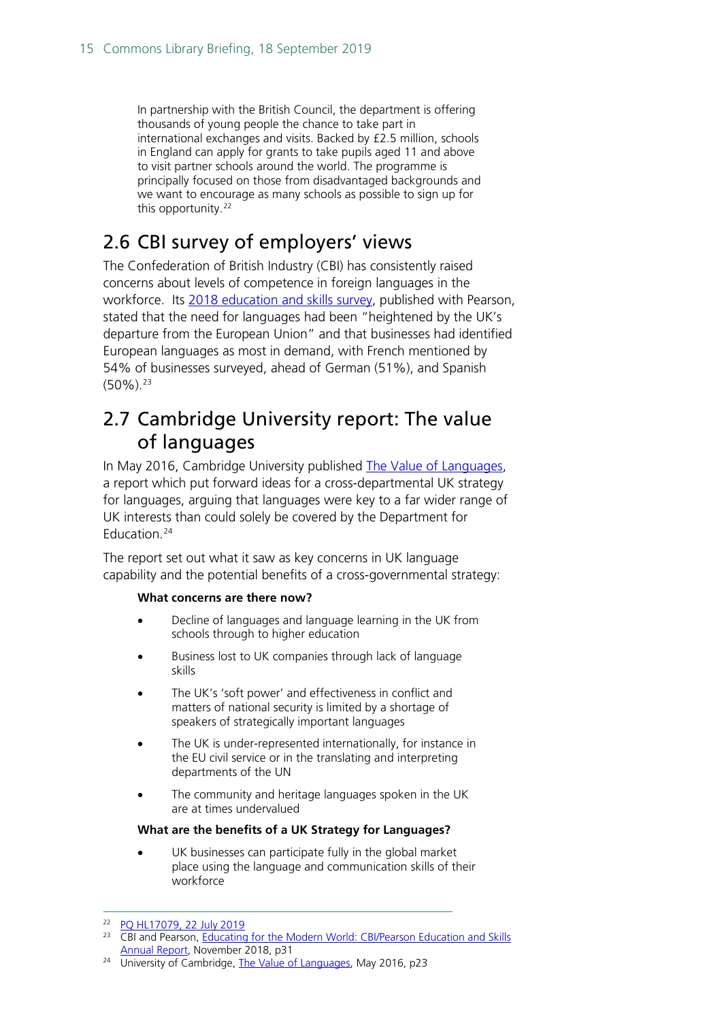In partnership with the British Council, the department is offering thousands of young people the chance to take part in international exchanges and visits. Backed by £2.5 million, schools in England can apply for grants to take pupils aged 11 and above to visit partner schools around the world. The programme is principally focused on those from disadvantaged backgrounds and we want to encourage as many schools as possible to sign up for this opportunity.<sup>[22](#page-14-2)</sup>

## <span id="page-14-0"></span>2.6 CBI survey of employers' views

The Confederation of British Industry (CBI) has consistently raised concerns about levels of competence in foreign languages in the workforce. Its [2018 education and skills survey,](https://atc.org.uk/cbi-report-gives-focus-to-atc/) published with Pearson, stated that the need for languages had been "heightened by the UK's departure from the European Union" and that businesses had identified European languages as most in demand, with French mentioned by 54% of businesses surveyed, ahead of German (51%), and Spanish  $(50\%)$ <sup>[23](#page-14-3)</sup>

### <span id="page-14-1"></span>2.7 Cambridge University report: The value of languages

In May 2016, Cambridge University published [The Value of Languages,](http://www.publicpolicy.cam.ac.uk/research-impact/value-of-languages) a report which put forward ideas for a cross-departmental UK strategy for languages, arguing that languages were key to a far wider range of UK interests than could solely be covered by the Department for Education.<sup>[24](#page-14-4)</sup>

The report set out what it saw as key concerns in UK language capability and the potential benefits of a cross-governmental strategy:

#### **What concerns are there now?**

- Decline of languages and language learning in the UK from schools through to higher education
- Business lost to UK companies through lack of language skills
- The UK's 'soft power' and effectiveness in conflict and matters of national security is limited by a shortage of speakers of strategically important languages
- The UK is under-represented internationally, for instance in the EU civil service or in the translating and interpreting departments of the UN
- The community and heritage languages spoken in the UK are at times undervalued

#### **What are the benefits of a UK Strategy for Languages?**

UK businesses can participate fully in the global market place using the language and communication skills of their workforce

<span id="page-14-2"></span><sup>22</sup> [PQ HL17079, 22 July 2019](https://www.parliament.uk/written-questions-answers-statements/written-question/lords/2019-07-10/HL17079)

<span id="page-14-3"></span><sup>&</sup>lt;sup>23</sup> CBI and Pearson, Educating for the Modern World: CBI/Pearson Education and Skills [Annual Report,](https://cbicdnend.azureedge.net/media/1171/cbi-educating-for-the-modern-world.pdf?v=20190905.2) November 2018, p31

<span id="page-14-4"></span><sup>&</sup>lt;sup>24</sup> University of Cambridge, [The Value of Languages,](http://www.publicpolicy.cam.ac.uk/pdf/value-of-languages) May 2016, p23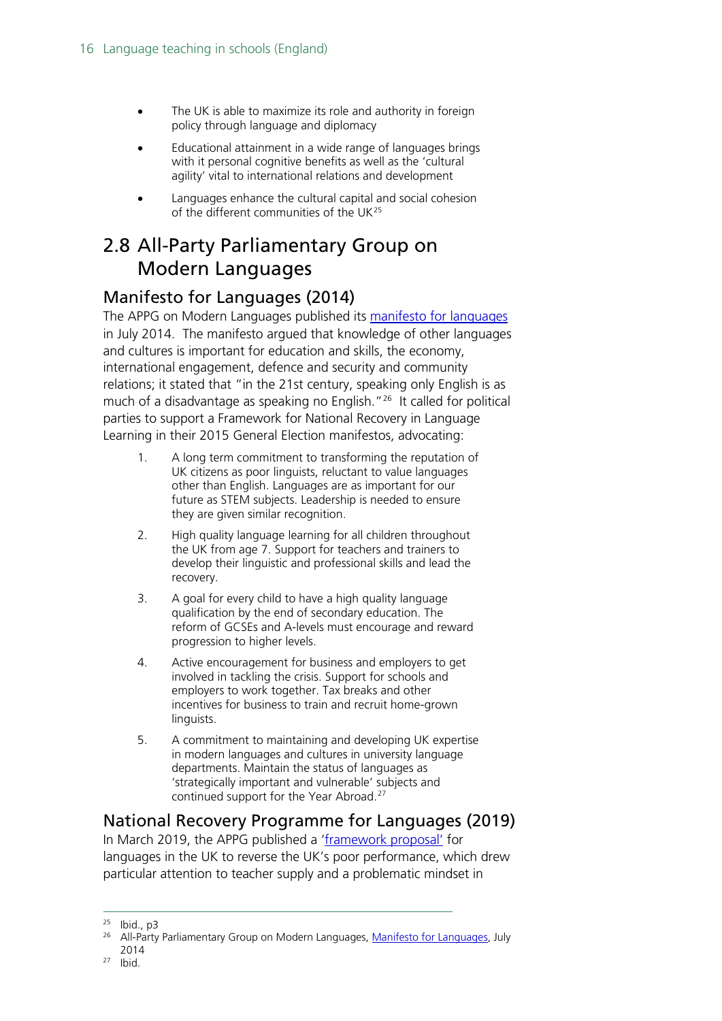- The UK is able to maximize its role and authority in foreign policy through language and diplomacy
- Educational attainment in a wide range of languages brings with it personal cognitive benefits as well as the 'cultural agility' vital to international relations and development
- Languages enhance the cultural capital and social cohesion of the different communities of the UK[25](#page-15-3)

## <span id="page-15-0"></span>2.8 All-Party Parliamentary Group on Modern Languages

### <span id="page-15-1"></span>Manifesto for Languages (2014)

The APPG on Modern Languages published its [manifesto for languages](http://www.all-languages.org.uk/news/news_list/appg_manifesto_for_languages) in July 2014. The manifesto argued that knowledge of other languages and cultures is important for education and skills, the economy, international engagement, defence and security and community relations; it stated that "in the 21st century, speaking only English is as much of a disadvantage as speaking no English."<sup>[26](#page-15-4)</sup> It called for political parties to support a Framework for National Recovery in Language Learning in their 2015 General Election manifestos, advocating:

- 1. A long term commitment to transforming the reputation of UK citizens as poor linguists, reluctant to value languages other than English. Languages are as important for our future as STEM subjects. Leadership is needed to ensure they are given similar recognition.
- 2. High quality language learning for all children throughout the UK from age 7. Support for teachers and trainers to develop their linguistic and professional skills and lead the recovery.
- 3. A goal for every child to have a high quality language qualification by the end of secondary education. The reform of GCSEs and A-levels must encourage and reward progression to higher levels.
- 4. Active encouragement for business and employers to get involved in tackling the crisis. Support for schools and employers to work together. Tax breaks and other incentives for business to train and recruit home-grown linguists.
- 5. A commitment to maintaining and developing UK expertise in modern languages and cultures in university language departments. Maintain the status of languages as 'strategically important and vulnerable' subjects and continued support for the Year Abroad.[27](#page-15-5)

### <span id="page-15-2"></span>National Recovery Programme for Languages (2019)

In March 2019, the APPG published a ['framework proposal'](https://nationalrecoverylanguages.weebly.com/) for languages in the UK to reverse the UK's poor performance, which drew particular attention to teacher supply and a problematic mindset in

 $25$  Ibid., p3

<span id="page-15-4"></span><span id="page-15-3"></span><sup>&</sup>lt;sup>26</sup> All-Party Parliamentary Group on Modern Languages, [Manifesto for Languages,](http://www.all-languages.org.uk/uploads/files/Press%20Releases/APPGManifestoforLangs-EmbargoTo14July.pdf) July 2014

<span id="page-15-5"></span><sup>27</sup> Ibid.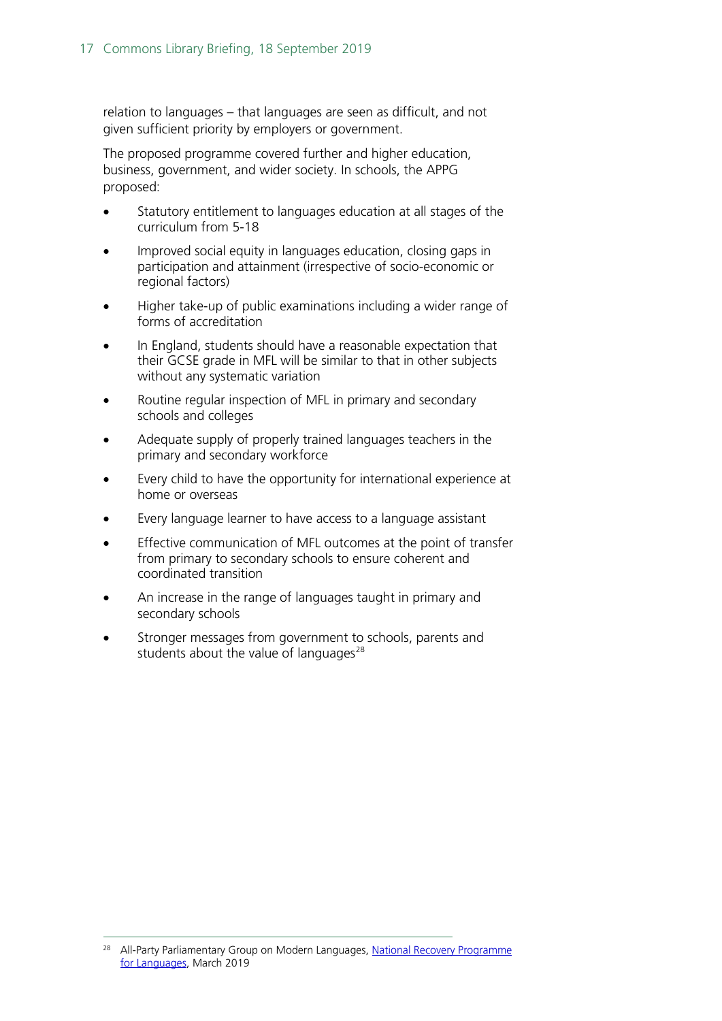relation to languages – that languages are seen as difficult, and not given sufficient priority by employers or government.

The proposed programme covered further and higher education, business, government, and wider society. In schools, the APPG proposed:

- Statutory entitlement to languages education at all stages of the curriculum from 5-18
- Improved social equity in languages education, closing gaps in participation and attainment (irrespective of socio-economic or regional factors)
- Higher take-up of public examinations including a wider range of forms of accreditation
- In England, students should have a reasonable expectation that their GCSE grade in MFL will be similar to that in other subjects without any systematic variation
- Routine regular inspection of MFL in primary and secondary schools and colleges
- Adequate supply of properly trained languages teachers in the primary and secondary workforce
- Every child to have the opportunity for international experience at home or overseas
- Every language learner to have access to a language assistant
- Effective communication of MFL outcomes at the point of transfer from primary to secondary schools to ensure coherent and coordinated transition
- An increase in the range of languages taught in primary and secondary schools
- Stronger messages from government to schools, parents and students about the value of languages $^{28}$  $^{28}$  $^{28}$

<span id="page-16-0"></span><sup>&</sup>lt;sup>28</sup> All-Party Parliamentary Group on Modern Languages, National Recovery Programme [for Languages,](https://nationalrecoverylanguages.weebly.com/) March 2019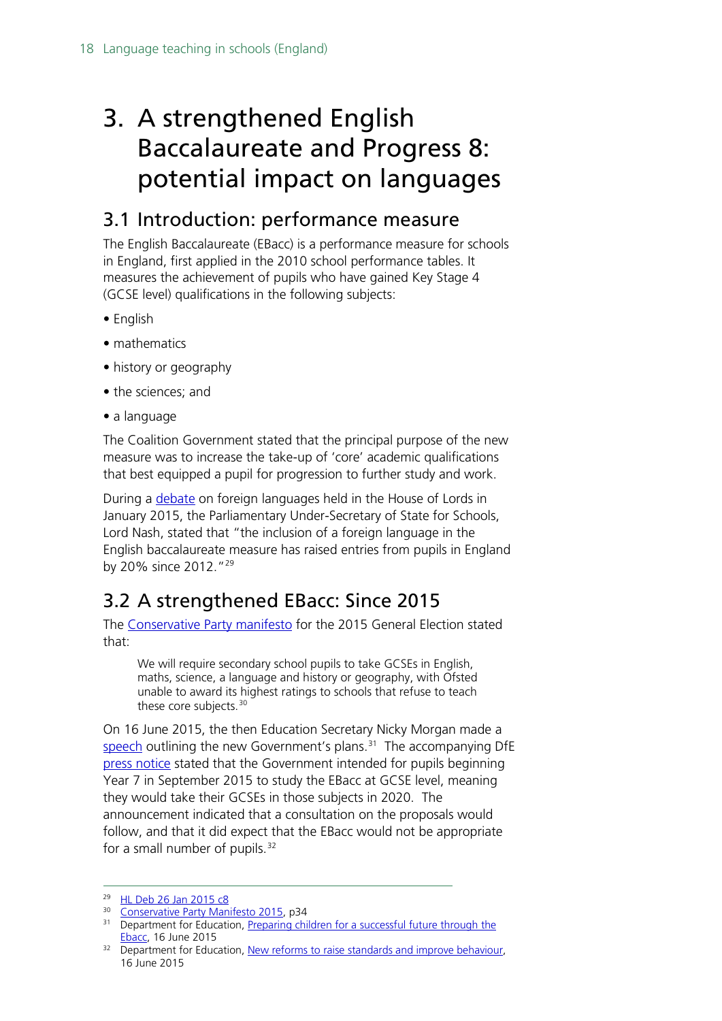# <span id="page-17-0"></span>3. A strengthened English Baccalaureate and Progress 8: potential impact on languages

## <span id="page-17-1"></span>3.1 Introduction: performance measure

The English Baccalaureate (EBacc) is a performance measure for schools in England, first applied in the 2010 school performance tables. It measures the achievement of pupils who have gained Key Stage 4 (GCSE level) qualifications in the following subjects:

- English
- mathematics
- history or geography
- the sciences; and
- a language

The Coalition Government stated that the principal purpose of the new measure was to increase the take-up of 'core' academic qualifications that best equipped a pupil for progression to further study and work.

During a [debate](http://www.publications.parliament.uk/pa/ld201415/ldhansrd/text/150126-0001.htm#15012613000051) on foreign languages held in the House of Lords in January 2015, the Parliamentary Under-Secretary of State for Schools, Lord Nash, stated that "the inclusion of a foreign language in the English baccalaureate measure has raised entries from pupils in England by 20% since 2012."[29](#page-17-3)

# <span id="page-17-2"></span>3.2 A strengthened EBacc: Since 2015

The [Conservative Party manifesto](https://s3-eu-west-1.amazonaws.com/manifesto2015/ConservativeManifesto2015.pdf) for the 2015 General Election stated that:

We will require secondary school pupils to take GCSEs in English, maths, science, a language and history or geography, with Ofsted unable to award its highest ratings to schools that refuse to teach these core subjects.<sup>[30](#page-17-4)</sup>

On 16 June 2015, the then Education Secretary Nicky Morgan made a [speech](https://www.gov.uk/government/speeches/preparing-children-for-a-successful-future-through-the-ebacc) outlining the new Government's plans.<sup>[31](#page-17-5)</sup> The accompanying DfE [press notice](https://www.gov.uk/government/news/new-reforms-to-raise-standards-and-improve-behaviour) stated that the Government intended for pupils beginning Year 7 in September 2015 to study the EBacc at GCSE level, meaning they would take their GCSEs in those subjects in 2020. The announcement indicated that a consultation on the proposals would follow, and that it did expect that the EBacc would not be appropriate for a small number of pupils.<sup>[32](#page-17-6)</sup>

<span id="page-17-4"></span><sup>30</sup> [Conservative Party Manifesto 2015,](https://s3-eu-west-1.amazonaws.com/manifesto2015/ConservativeManifesto2015.pdf) p34

<span id="page-17-3"></span> <sup>29</sup> [HL Deb 26 Jan 2015 c8](http://www.publications.parliament.uk/pa/ld201415/ldhansrd/text/150126-0001.htm#15012613000051)

<span id="page-17-5"></span><sup>&</sup>lt;sup>31</sup> Department for Education, Preparing children for a successful future through the [Ebacc,](https://www.gov.uk/government/speeches/preparing-children-for-a-successful-future-through-the-ebacc) 16 June 2015

<span id="page-17-6"></span><sup>&</sup>lt;sup>32</sup> Department for Education, [New reforms to raise standards and improve behaviour,](https://www.gov.uk/government/news/new-reforms-to-raise-standards-and-improve-behaviour) 16 June 2015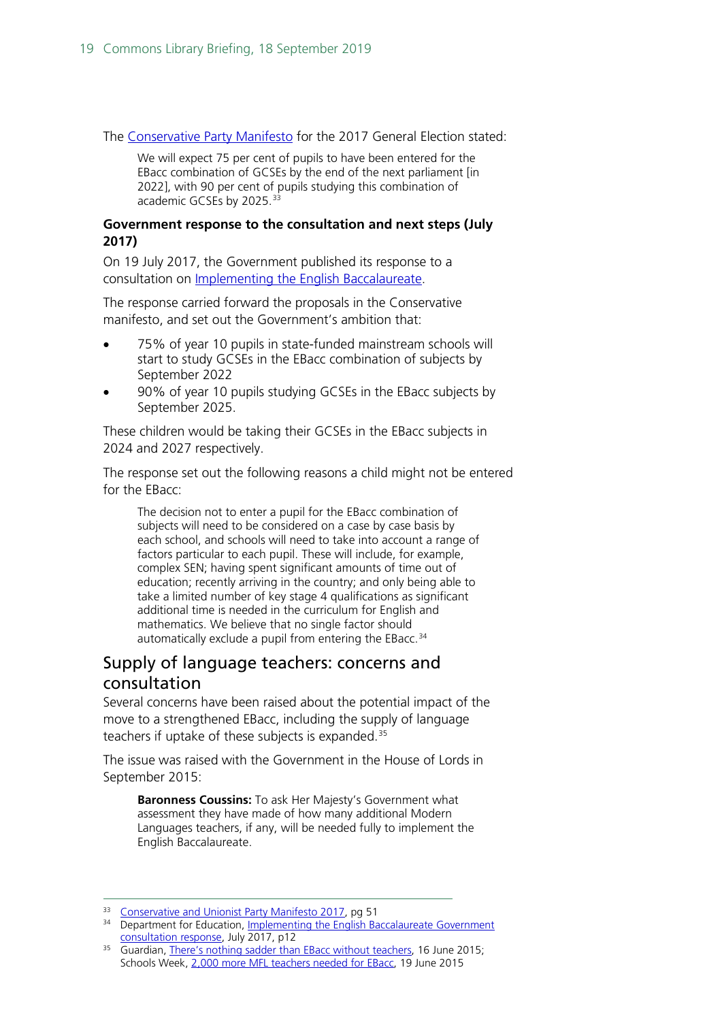The [Conservative Party Manifesto](https://s3.eu-west-2.amazonaws.com/manifesto2017/Manifesto2017.pdf) for the 2017 General Election stated:

We will expect 75 per cent of pupils to have been entered for the EBacc combination of GCSEs by the end of the next parliament [in 2022], with 90 per cent of pupils studying this combination of academic GCSEs by 2025.<sup>[33](#page-18-1)</sup>

#### **Government response to the consultation and next steps (July 2017)**

On 19 July 2017, the Government published its response to a consultation on Implementing [the English Baccalaureate.](https://www.gov.uk/government/consultations/implementing-the-english-baccalaureate)

The response carried forward the proposals in the Conservative manifesto, and set out the Government's ambition that:

- 75% of year 10 pupils in state-funded mainstream schools will start to study GCSEs in the EBacc combination of subjects by September 2022
- 90% of year 10 pupils studying GCSEs in the EBacc subjects by September 2025.

These children would be taking their GCSEs in the EBacc subjects in 2024 and 2027 respectively.

The response set out the following reasons a child might not be entered for the EBacc:

The decision not to enter a pupil for the EBacc combination of subjects will need to be considered on a case by case basis by each school, and schools will need to take into account a range of factors particular to each pupil. These will include, for example, complex SEN; having spent significant amounts of time out of education; recently arriving in the country; and only being able to take a limited number of key stage 4 qualifications as significant additional time is needed in the curriculum for English and mathematics. We believe that no single factor should automatically exclude a pupil from entering the EBacc.<sup>[34](#page-18-2)</sup>

### <span id="page-18-0"></span>Supply of language teachers: concerns and consultation

Several concerns have been raised about the potential impact of the move to a strengthened EBacc, including the supply of language teachers if uptake of these subjects is expanded.<sup>[35](#page-18-3)</sup>

The issue was raised with the Government in the House of Lords in September 2015:

**Baronness Coussins:** To ask Her Majesty's Government what assessment they have made of how many additional Modern Languages teachers, if any, will be needed fully to implement the English Baccalaureate.

<span id="page-18-1"></span><sup>33</sup> [Conservative and Unionist Party Manifesto 2017,](https://s3.eu-west-2.amazonaws.com/manifesto2017/Manifesto2017.pdf) pg 51

<span id="page-18-2"></span><sup>&</sup>lt;sup>34</sup> Department for Education, Implementing the English Baccalaureate Government [consultation response,](https://www.gov.uk/government/consultations/implementing-the-english-baccalaureate) July 2017, p12

<span id="page-18-3"></span><sup>&</sup>lt;sup>35</sup> Guardian, [There's nothing sadder than EBacc without teachers,](http://www.theguardian.com/education/2015/jun/16/ebacc-teachers-gcse-subjects) 16 June 2015; Schools Week, [2,000 more MFL teachers needed for EBacc,](http://schoolsweek.co.uk/2000-more-mfl-teachers-needed-for-ebacc/) 19 June 2015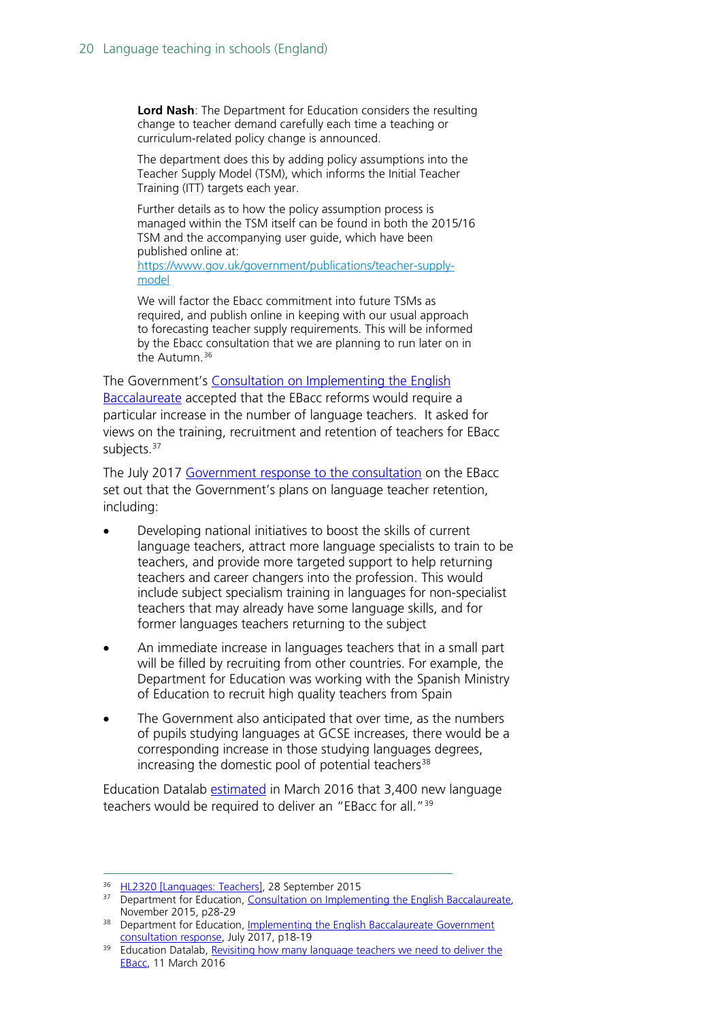**Lord Nash**: The Department for Education considers the resulting change to teacher demand carefully each time a teaching or curriculum-related policy change is announced.

The department does this by adding policy assumptions into the Teacher Supply Model (TSM), which informs the Initial Teacher Training (ITT) targets each year.

Further details as to how the policy assumption process is managed within the TSM itself can be found in both the 2015/16 TSM and the accompanying user guide, which have been published online at: [https://www.gov.uk/government/publications/teacher-supply](https://www.gov.uk/government/publications/teacher-supply-model)[model](https://www.gov.uk/government/publications/teacher-supply-model)

We will factor the Ebacc commitment into future TSMs as required, and publish online in keeping with our usual approach to forecasting teacher supply requirements. This will be informed by the Ebacc consultation that we are planning to run later on in the Autumn.<sup>[36](#page-19-0)</sup>

The Government's [Consultation on Implementing the English](https://www.gov.uk/government/uploads/system/uploads/attachment_data/file/473455/Consultation_on_implementing_the_English_Baccalaureate.pdf)  [Baccalaureate](https://www.gov.uk/government/uploads/system/uploads/attachment_data/file/473455/Consultation_on_implementing_the_English_Baccalaureate.pdf) accepted that the EBacc reforms would require a particular increase in the number of language teachers. It asked for views on the training, recruitment and retention of teachers for EBacc subjects.<sup>[37](#page-19-1)</sup>

The July 2017 [Government response to the consultation](https://www.gov.uk/government/consultations/implementing-the-english-baccalaureate) on the EBacc set out that the Government's plans on language teacher retention, including:

- Developing national initiatives to boost the skills of current language teachers, attract more language specialists to train to be teachers, and provide more targeted support to help returning teachers and career changers into the profession. This would include subject specialism training in languages for non-specialist teachers that may already have some language skills, and for former languages teachers returning to the subject
- An immediate increase in languages teachers that in a small part will be filled by recruiting from other countries. For example, the Department for Education was working with the Spanish Ministry of Education to recruit high quality teachers from Spain
- The Government also anticipated that over time, as the numbers of pupils studying languages at GCSE increases, there would be a corresponding increase in those studying languages degrees, increasing the domestic pool of potential teachers<sup>[38](#page-19-2)</sup>

Education Datalab [estimated](http://www.educationdatalab.org.uk/Blog/March-2016/Revisiting-how-many-language-teachers-we-need-to-d.aspx#.VzSmqdIrLct) in March 2016 that 3,400 new language teachers would be required to deliver an "EBacc for all."<sup>[39](#page-19-3)</sup>

<sup>&</sup>lt;sup>36</sup> [HL2320 \[Languages: Teachers\],](http://www.parliament.uk/written-questions-answers-statements/written-question/lords/2015-09-17/HL2320) 28 September 2015

<span id="page-19-1"></span><span id="page-19-0"></span><sup>&</sup>lt;sup>37</sup> Department for Education, Consultation on Implementing the English Baccalaureate, November 2015, p28-29

<span id="page-19-2"></span><sup>&</sup>lt;sup>38</sup> Department for Education, Implementing the English Baccalaureate Government [consultation response,](https://www.gov.uk/government/consultations/implementing-the-english-baccalaureate) July 2017, p18-19

<span id="page-19-3"></span><sup>&</sup>lt;sup>39</sup> Education Datalab, Revisiting how many language teachers we need to deliver the [EBacc,](http://www.educationdatalab.org.uk/Blog/March-2016/Revisiting-how-many-language-teachers-we-need-to-d.aspx#.VzSmqdIrLct) 11 March 2016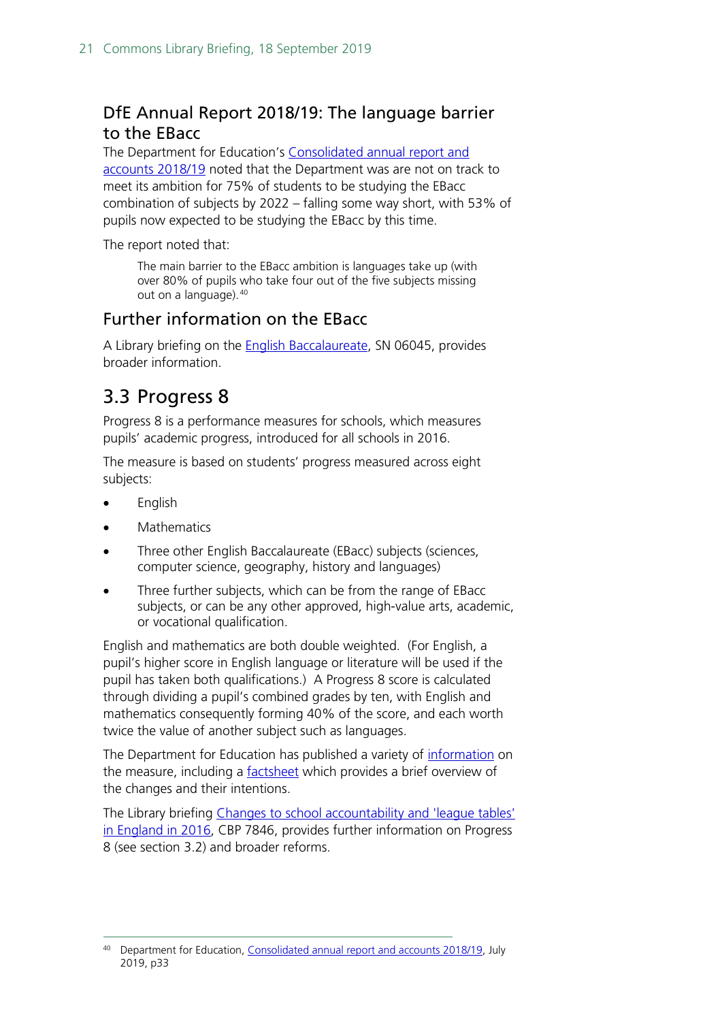### <span id="page-20-0"></span>DfE Annual Report 2018/19: The language barrier to the EBacc

The Department for Education's [Consolidated annual report and](https://www.gov.uk/government/publications/dfe-consolidated-annual-report-and-accounts-2018-to-2019)  [accounts 2018/19](https://www.gov.uk/government/publications/dfe-consolidated-annual-report-and-accounts-2018-to-2019) noted that the Department was are not on track to meet its ambition for 75% of students to be studying the EBacc combination of subjects by 2022 – falling some way short, with 53% of pupils now expected to be studying the EBacc by this time.

The report noted that:

The main barrier to the EBacc ambition is languages take up (with over 80% of pupils who take four out of the five subjects missing out on a language).[40](#page-20-2)

#### Further information on the EBacc

A Library briefing on the [English Baccalaureate,](https://researchbriefings.parliament.uk/ResearchBriefing/Summary/SN06045) SN 06045, provides broader information.

## <span id="page-20-1"></span>3.3 Progress 8

Progress 8 is a performance measures for schools, which measures pupils' academic progress, introduced for all schools in 2016.

The measure is based on students' progress measured across eight subjects:

- English
- **Mathematics**
- Three other English Baccalaureate (EBacc) subjects (sciences, computer science, geography, history and languages)
- Three further subjects, which can be from the range of EBacc subjects, or can be any other approved, high-value arts, academic, or vocational qualification.

English and mathematics are both double weighted. (For English, a pupil's higher score in English language or literature will be used if the pupil has taken both qualifications.) A Progress 8 score is calculated through dividing a pupil's combined grades by ten, with English and mathematics consequently forming 40% of the score, and each worth twice the value of another subject such as languages.

The Department for Education has published a variety of [information](https://www.gov.uk/government/publications/progress-8-school-performance-measure) on the measure, including a [factsheet](https://www.gov.uk/government/uploads/system/uploads/attachment_data/file/285990/P8_factsheet.pdf) which provides a brief overview of the changes and their intentions.

The Library briefing [Changes to school accountability and 'league tables'](https://researchbriefings.parliament.uk/ResearchBriefing/Summary/CBP-7846)  [in England in 2016,](https://researchbriefings.parliament.uk/ResearchBriefing/Summary/CBP-7846) CBP 7846, provides further information on Progress 8 (see section 3.2) and broader reforms.

<span id="page-20-2"></span><sup>&</sup>lt;sup>40</sup> Department for Education, [Consolidated annual report and accounts 2018/19,](https://www.gov.uk/government/publications/dfe-consolidated-annual-report-and-accounts-2018-to-2019) July 2019, p33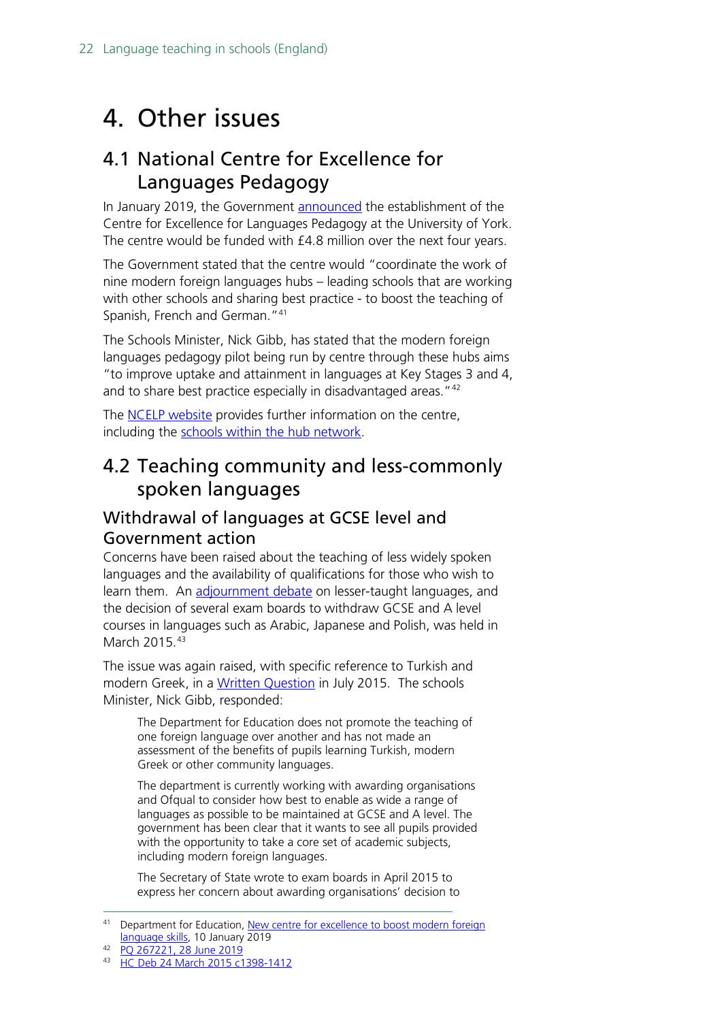# <span id="page-21-0"></span>4. Other issues

## <span id="page-21-1"></span>4.1 National Centre for Excellence for Languages Pedagogy

In January 2019, the Government [announced](https://www.gov.uk/government/news/new-centre-for-excellence-to-boost-modern-foreign-language-skills) the establishment of the Centre for Excellence for Languages Pedagogy at the University of York. The centre would be funded with £4.8 million over the next four years.

The Government stated that the centre would "coordinate the work of nine modern foreign languages hubs – leading schools that are working with other schools and sharing best practice - to boost the teaching of Spanish, French and German."[41](#page-21-4)

The Schools Minister, Nick Gibb, has stated that the modern foreign languages pedagogy pilot being run by centre through these hubs aims "to improve uptake and attainment in languages at Key Stages 3 and 4, and to share best practice especially in disadvantaged areas." [42](#page-21-5)

The **NCELP** website provides further information on the centre, including the [schools within the hub network.](https://ncelp.org/hubs/schools-within-the-hub-network/)

## <span id="page-21-2"></span>4.2 Teaching community and less-commonly spoken languages

### <span id="page-21-3"></span>Withdrawal of languages at GCSE level and Government action

Concerns have been raised about the teaching of less widely spoken languages and the availability of qualifications for those who wish to learn them. An [adjournment debate](http://www.publications.parliament.uk/pa/cm201415/cmhansrd/cm150324/debtext/150324-0004.htm#15032473000009) on lesser-taught languages, and the decision of several exam boards to withdraw GCSE and A level courses in languages such as Arabic, Japanese and Polish, was held in March 2015.<sup>[43](#page-21-6)</sup>

The issue was again raised, with specific reference to Turkish and modern Greek, in a [Written Question](http://www.parliament.uk/written-questions-answers-statements/written-question/commons/2015-07-15/7419) in July 2015. The schools Minister, Nick Gibb, responded:

The Department for Education does not promote the teaching of one foreign language over another and has not made an assessment of the benefits of pupils learning Turkish, modern Greek or other community languages.

The department is currently working with awarding organisations and Ofqual to consider how best to enable as wide a range of languages as possible to be maintained at GCSE and A level. The government has been clear that it wants to see all pupils provided with the opportunity to take a core set of academic subjects, including modern foreign languages.

The Secretary of State wrote to exam boards in April 2015 to express her concern about awarding organisations' decision to

<span id="page-21-4"></span><sup>&</sup>lt;sup>41</sup> Department for Education, New centre for excellence to boost modern foreign [language skills,](https://www.gov.uk/government/news/new-centre-for-excellence-to-boost-modern-foreign-language-skills) 10 January 2019

<span id="page-21-6"></span><span id="page-21-5"></span><sup>42</sup> [PQ 267221, 28 June 2019](https://www.parliament.uk/written-questions-answers-statements/written-question/commons/2019-06-20/267221)

<sup>43</sup> [HC Deb 24 March 2015 c1398-1412](http://www.publications.parliament.uk/pa/cm201415/cmhansrd/cm150324/debtext/150324-0004.htm#15032473000009)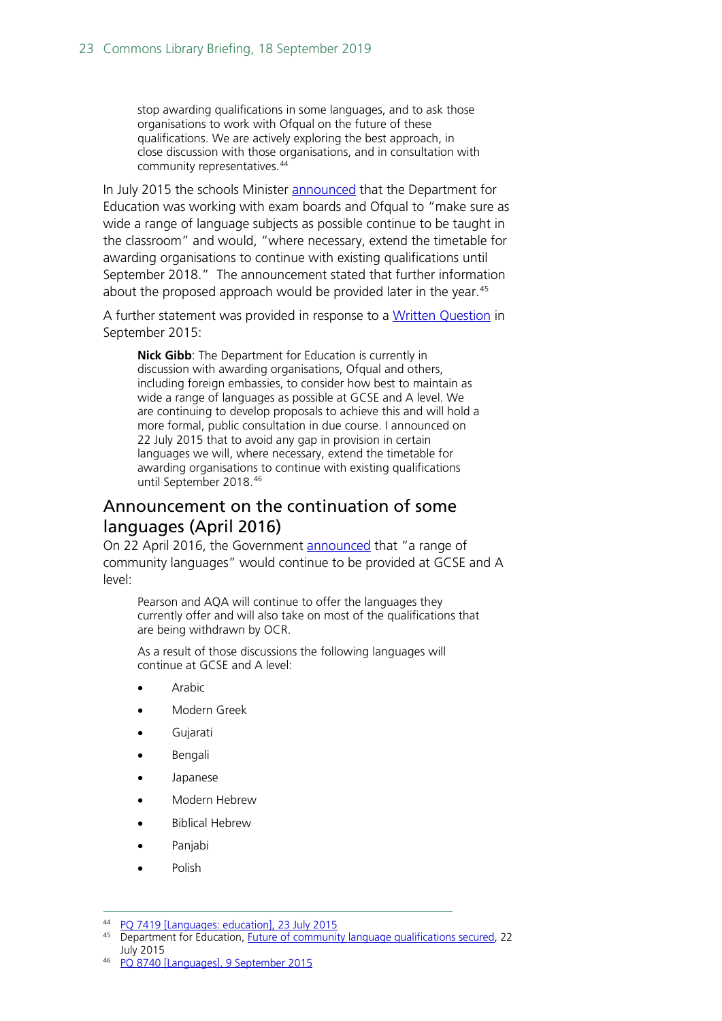stop awarding qualifications in some languages, and to ask those organisations to work with Ofqual on the future of these qualifications. We are actively exploring the best approach, in close discussion with those organisations, and in consultation with community representatives.<sup>[44](#page-22-1)</sup>

In July 2015 the schools Minister **announced** that the Department for Education was working with exam boards and Ofqual to "make sure as wide a range of language subjects as possible continue to be taught in the classroom" and would, "where necessary, extend the timetable for awarding organisations to continue with existing qualifications until September 2018." The announcement stated that further information about the proposed approach would be provided later in the year.  $45$ 

A further statement was provided in response to a [Written Question](http://www.parliament.uk/written-questions-answers-statements/written-question/commons/2015-09-04/8740) in September 2015:

**Nick Gibb**: The Department for Education is currently in discussion with awarding organisations, Ofqual and others, including foreign embassies, to consider how best to maintain as wide a range of languages as possible at GCSE and A level. We are continuing to develop proposals to achieve this and will hold a more formal, public consultation in due course. I announced on 22 July 2015 that to avoid any gap in provision in certain languages we will, where necessary, extend the timetable for awarding organisations to continue with existing qualifications until September 2018.[46](#page-22-3)

### <span id="page-22-0"></span>Announcement on the continuation of some languages (April 2016)

On 22 April 2016, the Government [announced](https://www.gov.uk/government/news/community-languages-saved-to-ensure-diverse-curriculum-continues) that "a range of community languages" would continue to be provided at GCSE and A level:

Pearson and AQA will continue to offer the languages they currently offer and will also take on most of the qualifications that are being withdrawn by OCR.

As a result of those discussions the following languages will continue at GCSE and A level:

- **Arabic**
- Modern Greek
- Gujarati
- Bengali
- Japanese
- Modern Hebrew
- Biblical Hebrew
- Panjabi
- **Polish**

<span id="page-22-2"></span><span id="page-22-1"></span> <sup>44</sup> [PQ 7419 \[Languages: education\], 23 July 2015](http://www.parliament.uk/written-questions-answers-statements/written-question/commons/2015-07-15/7419)

<sup>45</sup> Department for Education, [Future of community language qualifications secured,](https://www.gov.uk/government/news/future-of-community-language-qualifications-secured) 22 July 2015

<span id="page-22-3"></span><sup>46</sup> [PQ 8740 \[Languages\], 9 September 2015](http://www.parliament.uk/written-questions-answers-statements/written-question/commons/2015-09-04/8740)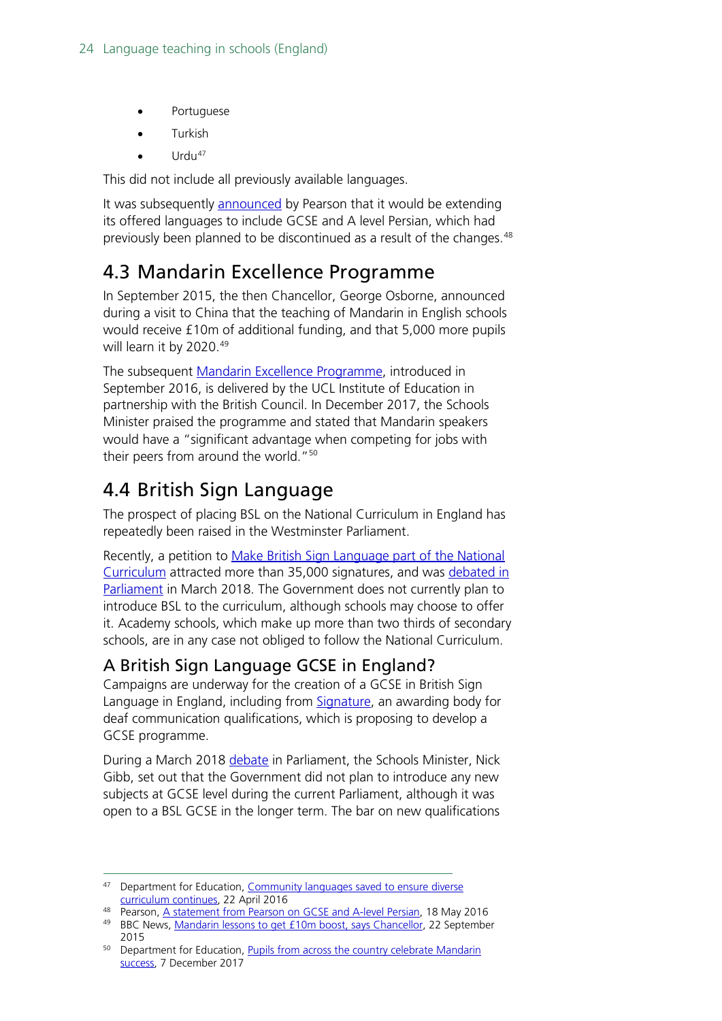- **Portuguese**
- Turkish
- $Urdu^{47}$  $Urdu^{47}$  $Urdu^{47}$

This did not include all previously available languages.

It was subsequently [announced](https://www.pearson.com/news/announcements/2016/may/a-statement-from-pearson-on-gcse-and-a-level-persian.html) by Pearson that it would be extending its offered languages to include GCSE and A level Persian, which had previously been planned to be discontinued as a result of the changes.<sup>[48](#page-23-4)</sup>

## <span id="page-23-0"></span>4.3 Mandarin Excellence Programme

In September 2015, the then Chancellor, George Osborne, announced during a visit to China that the teaching of Mandarin in English schools would receive £10m of additional funding, and that 5,000 more pupils will learn it by 2020. [49](#page-23-5)

The subsequent [Mandarin Excellence Programme,](https://ci.ioe.ac.uk/mandarin-excellence-programme/) introduced in September 2016, is delivered by the UCL Institute of Education in partnership with the British Council. In December 2017, the Schools Minister praised the programme and stated that Mandarin speakers would have a "significant advantage when competing for jobs with their peers from around the world."<sup>[50](#page-23-6)</sup>

# <span id="page-23-1"></span>4.4 British Sign Language

The prospect of placing BSL on the National Curriculum in England has repeatedly been raised in the Westminster Parliament.

Recently, a petition to [Make British Sign Language part of the National](https://petition.parliament.uk/petitions/200000)  [Curriculum](https://petition.parliament.uk/petitions/200000) attracted more than 35,000 signatures, and was debated in [Parliament](https://hansard.parliament.uk/Commons/2018-03-05/debates/553511A4-468B-4B1E-9AD9-A55DCBF3ED06/BritishSignLanguageNationalCurriculum) in March 2018. The Government does not currently plan to introduce BSL to the curriculum, although schools may choose to offer it. Academy schools, which make up more than two thirds of secondary schools, are in any case not obliged to follow the National Curriculum.

### <span id="page-23-2"></span>A British Sign Language GCSE in England?

Campaigns are underway for the creation of a GCSE in British Sign Language in England, including from [Signature,](https://www.signature.org.uk/bsl-secondary-education) an awarding body for deaf communication qualifications, which is proposing to develop a GCSE programme.

During a March 2018 [debate](https://hansard.parliament.uk/Commons/2018-03-05/debates/553511A4-468B-4B1E-9AD9-A55DCBF3ED06/BritishSignLanguageNationalCurriculum) in Parliament, the Schools Minister, Nick Gibb, set out that the Government did not plan to introduce any new subjects at GCSE level during the current Parliament, although it was open to a BSL GCSE in the longer term. The bar on new qualifications

<span id="page-23-3"></span><sup>47</sup> Department for Education, Community languages saved to ensure diverse [curriculum continues,](https://www.gov.uk/government/news/community-languages-saved-to-ensure-diverse-curriculum-continues) 22 April 2016

<span id="page-23-5"></span><span id="page-23-4"></span><sup>48</sup> Pearson, [A statement from Pearson on GCSE and A-level Persian,](https://www.pearson.com/news/announcements/2016/may/a-statement-from-pearson-on-gcse-and-a-level-persian.html) 18 May 2016 49 BBC News, [Mandarin lessons to get £10m boost, says](http://www.bbc.co.uk/news/education-34331189) Chancellor, 22 September 2015

<span id="page-23-6"></span><sup>&</sup>lt;sup>50</sup> Department for Education, Pupils from across the country celebrate Mandarin [success,](https://www.gov.uk/government/news/pupils-from-across-the-country-celebrate-mandarin-success) 7 December 2017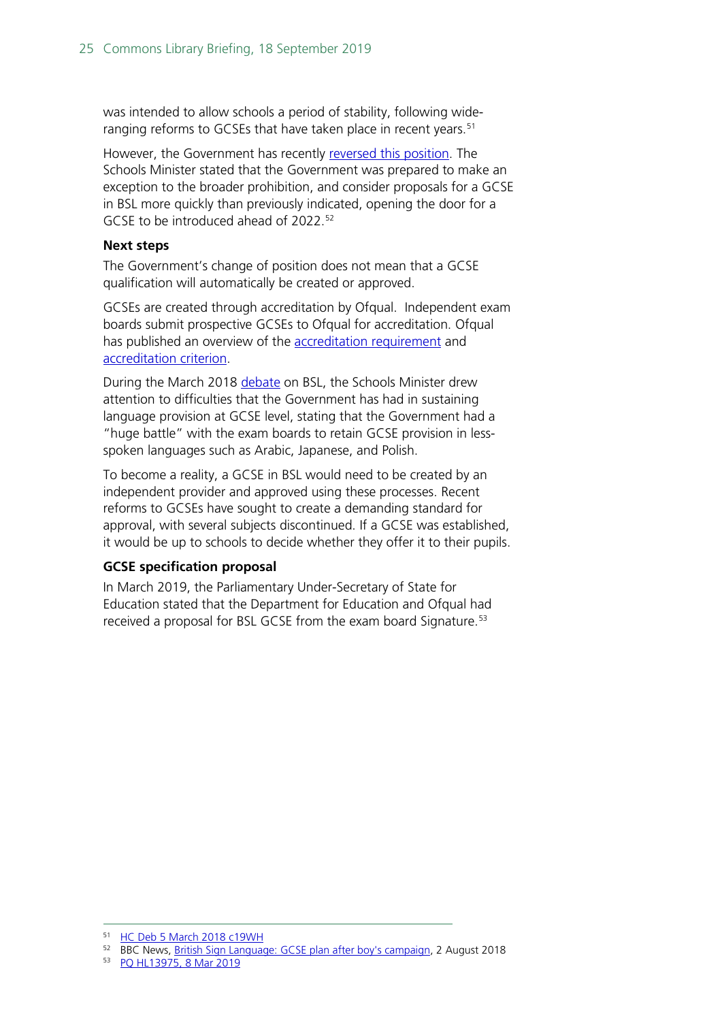was intended to allow schools a period of stability, following wide-ranging reforms to GCSEs that have taken place in recent years.<sup>[51](#page-24-0)</sup>

However, the Government has recently [reversed this position.](https://www.bbc.co.uk/news/uk-england-suffolk-45043418) The Schools Minister stated that the Government was prepared to make an exception to the broader prohibition, and consider proposals for a GCSE in BSL more quickly than previously indicated, opening the door for a GCSE to be introduced ahead of 2022.<sup>[52](#page-24-1)</sup>

#### **Next steps**

The Government's change of position does not mean that a GCSE qualification will automatically be created or approved.

GCSEs are created through accreditation by Ofqual. Independent exam boards submit prospective GCSEs to Ofqual for accreditation. Ofqual has published an overview of the [accreditation requirement](https://www.gov.uk/guidance/accreditation-requirement) and [accreditation criterion.](https://www.gov.uk/government/publications/accreditation-criterion)

During the March 2018 [debate](https://hansard.parliament.uk/Commons/2018-03-05/debates/553511A4-468B-4B1E-9AD9-A55DCBF3ED06/BritishSignLanguageNationalCurriculum) on BSL, the Schools Minister drew attention to difficulties that the Government has had in sustaining language provision at GCSE level, stating that the Government had a "huge battle" with the exam boards to retain GCSE provision in lessspoken languages such as Arabic, Japanese, and Polish.

To become a reality, a GCSE in BSL would need to be created by an independent provider and approved using these processes. Recent reforms to GCSEs have sought to create a demanding standard for approval, with several subjects discontinued. If a GCSE was established, it would be up to schools to decide whether they offer it to their pupils.

#### **GCSE specification proposal**

In March 2019, the Parliamentary Under-Secretary of State for Education stated that the Department for Education and Ofqual had received a proposal for BSL GCSE from the exam board Signature.<sup>[53](#page-24-2)</sup>

<span id="page-24-0"></span> <sup>51</sup> [HC Deb 5 March 2018 c19WH](https://hansard.parliament.uk/Commons/2018-03-05/debates/553511A4-468B-4B1E-9AD9-A55DCBF3ED06/BritishSignLanguageNationalCurriculum)

<span id="page-24-1"></span><sup>52</sup> BBC News, [British Sign Language: GCSE plan after boy's campaign,](https://www.bbc.co.uk/news/uk-england-suffolk-45043418) 2 August 2018

<span id="page-24-2"></span><sup>53</sup> [PQ HL13975, 8 Mar 2019](https://www.parliament.uk/written-questions-answers-statements/written-question/lords/2019-02-25/HL13975)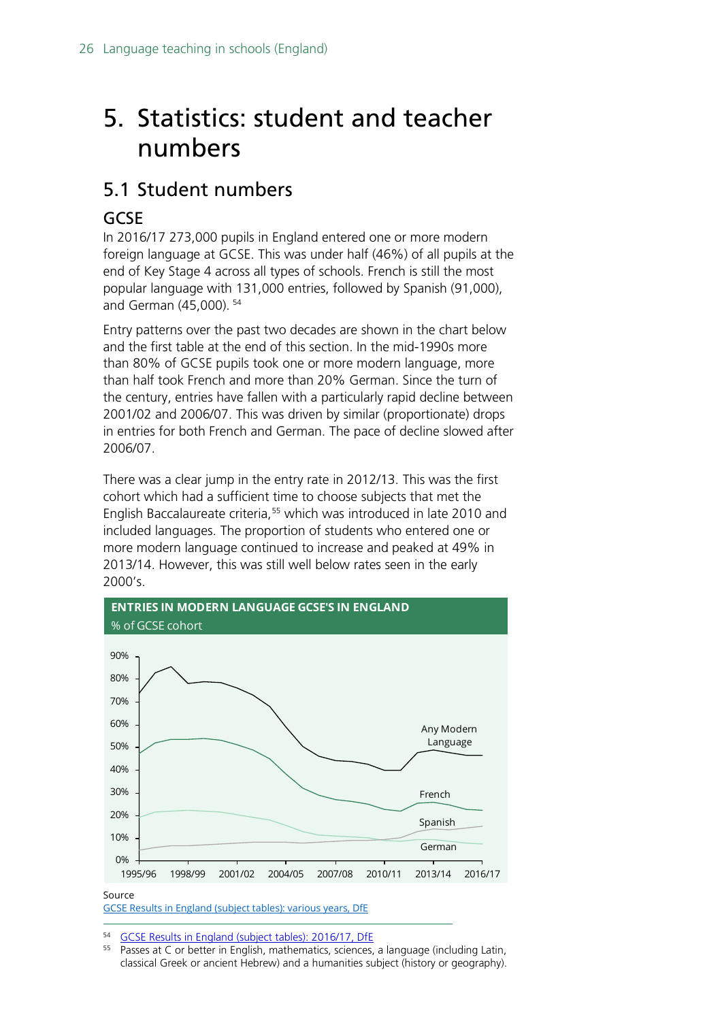# <span id="page-25-0"></span>5. Statistics: student and teacher numbers

## <span id="page-25-1"></span>5.1 Student numbers

### <span id="page-25-2"></span>GCSE

In 2016/17 273,000 pupils in England entered one or more modern foreign language at GCSE. This was under half (46%) of all pupils at the end of Key Stage 4 across all types of schools. French is still the most popular language with 131,000 entries, followed by Spanish (91,000), and German (45,000). [54](#page-25-3)

Entry patterns over the past two decades are shown in the chart below and the first table at the end of this section. In the mid-1990s more than 80% of GCSE pupils took one or more modern language, more than half took French and more than 20% German. Since the turn of the century, entries have fallen with a particularly rapid decline between 2001/02 and 2006/07. This was driven by similar (proportionate) drops in entries for both French and German. The pace of decline slowed after 2006/07.

There was a clear jump in the entry rate in 2012/13. This was the first cohort which had a sufficient time to choose subjects that met the English Baccalaureate criteria, [55](#page-25-4) which was introduced in late 2010 and included languages. The proportion of students who entered one or more modern language continued to increase and peaked at 49% in 2013/14. However, this was still well below rates seen in the early 2000's.



<span id="page-25-4"></span><span id="page-25-3"></span><sup>54</sup> [GCSE Results in England \(subject tables\): 2016/17, DfE](https://www.gov.uk/government/statistics/revised-gcse-and-equivalent-results-in-england-2016-to-2017)<br><sup>55</sup> Passes at C or botter in English, mathematics, sciences

Passes at C or better in English, mathematics, sciences, a language (including Latin, classical Greek or ancient Hebrew) and a humanities subject (history or geography).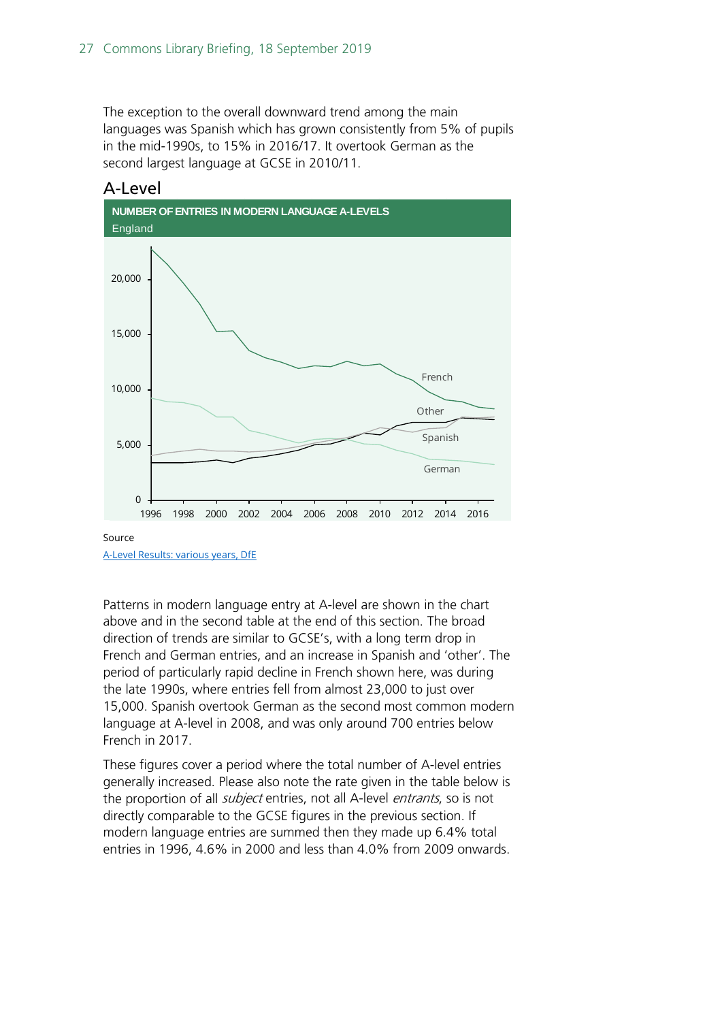The exception to the overall downward trend among the main languages was Spanish which has grown consistently from 5% of pupils in the mid-1990s, to 15% in 2016/17. It overtook German as the second largest language at GCSE in 2010/11.



#### <span id="page-26-0"></span>A-Level

[A-Level Results: various years, DfE](https://www.gov.uk/government/statistics/a-level-and-other-16-to-18-results-2016-to-2017-revised)

Patterns in modern language entry at A-level are shown in the chart above and in the second table at the end of this section. The broad direction of trends are similar to GCSE's, with a long term drop in French and German entries, and an increase in Spanish and 'other'. The period of particularly rapid decline in French shown here, was during the late 1990s, where entries fell from almost 23,000 to just over 15,000. Spanish overtook German as the second most common modern language at A-level in 2008, and was only around 700 entries below French in 2017.

These figures cover a period where the total number of A-level entries generally increased. Please also note the rate given in the table below is the proportion of all *subject* entries, not all A-level *entrants*, so is not directly comparable to the GCSE figures in the previous section. If modern language entries are summed then they made up 6.4% total entries in 1996, 4.6% in 2000 and less than 4.0% from 2009 onwards.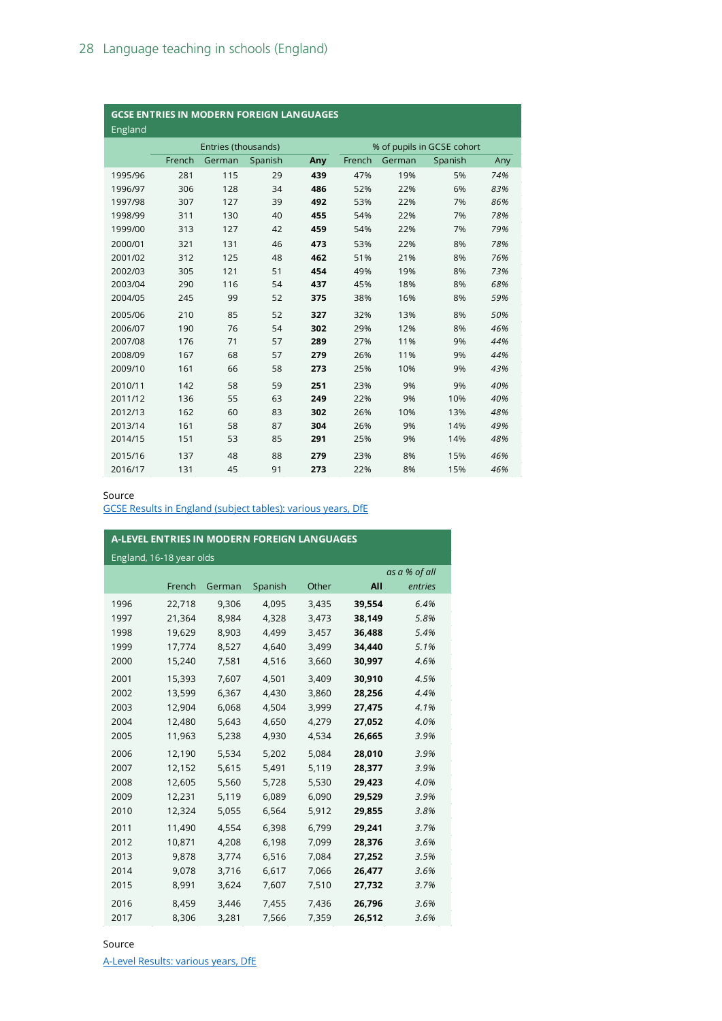| <b>GCSE ENTRIES IN MODERN FOREIGN LANGUAGES</b><br>England |                     |        |         |     |        |                            |         |     |  |  |
|------------------------------------------------------------|---------------------|--------|---------|-----|--------|----------------------------|---------|-----|--|--|
|                                                            | Entries (thousands) |        |         |     |        | % of pupils in GCSE cohort |         |     |  |  |
|                                                            | French              | German | Spanish | Any | French | German                     | Spanish | Any |  |  |
| 1995/96                                                    | 281                 | 115    | 29      | 439 | 47%    | 19%                        | 5%      | 74% |  |  |
| 1996/97                                                    | 306                 | 128    | 34      | 486 | 52%    | 22%                        | 6%      | 83% |  |  |
| 1997/98                                                    | 307                 | 127    | 39      | 492 | 53%    | 22%                        | 7%      | 86% |  |  |
| 1998/99                                                    | 311                 | 130    | 40      | 455 | 54%    | 22%                        | 7%      | 78% |  |  |
| 1999/00                                                    | 313                 | 127    | 42      | 459 | 54%    | 22%                        | 7%      | 79% |  |  |
| 2000/01                                                    | 321                 | 131    | 46      | 473 | 53%    | 22%                        | 8%      | 78% |  |  |
| 2001/02                                                    | 312                 | 125    | 48      | 462 | 51%    | 21%                        | 8%      | 76% |  |  |
| 2002/03                                                    | 305                 | 121    | 51      | 454 | 49%    | 19%                        | 8%      | 73% |  |  |
| 2003/04                                                    | 290                 | 116    | 54      | 437 | 45%    | 18%                        | 8%      | 68% |  |  |
| 2004/05                                                    | 245                 | 99     | 52      | 375 | 38%    | 16%                        | 8%      | 59% |  |  |
| 2005/06                                                    | 210                 | 85     | 52      | 327 | 32%    | 13%                        | 8%      | 50% |  |  |
| 2006/07                                                    | 190                 | 76     | 54      | 302 | 29%    | 12%                        | 8%      | 46% |  |  |
| 2007/08                                                    | 176                 | 71     | 57      | 289 | 27%    | 11%                        | 9%      | 44% |  |  |
| 2008/09                                                    | 167                 | 68     | 57      | 279 | 26%    | 11%                        | 9%      | 44% |  |  |
| 2009/10                                                    | 161                 | 66     | 58      | 273 | 25%    | 10%                        | 9%      | 43% |  |  |
| 2010/11                                                    | 142                 | 58     | 59      | 251 | 23%    | 9%                         | 9%      | 40% |  |  |
| 2011/12                                                    | 136                 | 55     | 63      | 249 | 22%    | 9%                         | 10%     | 40% |  |  |
| 2012/13                                                    | 162                 | 60     | 83      | 302 | 26%    | 10%                        | 13%     | 48% |  |  |
| 2013/14                                                    | 161                 | 58     | 87      | 304 | 26%    | 9%                         | 14%     | 49% |  |  |
| 2014/15                                                    | 151                 | 53     | 85      | 291 | 25%    | 9%                         | 14%     | 48% |  |  |
| 2015/16                                                    | 137                 | 48     | 88      | 279 | 23%    | 8%                         | 15%     | 46% |  |  |
| 2016/17                                                    | 131                 | 45     | 91      | 273 | 22%    | 8%                         | 15%     | 46% |  |  |

#### Source

[GCSE Results in England \(subject tables\): various years, DfE](https://www.gov.uk/government/statistics/revised-gcse-and-equivalent-results-in-england-2016-to-2017)

| A-LEVEL ENTRIES IN MODERN FOREIGN LANGUAGES |               |        |         |       |        |         |  |  |  |  |  |
|---------------------------------------------|---------------|--------|---------|-------|--------|---------|--|--|--|--|--|
| England, 16-18 year olds                    |               |        |         |       |        |         |  |  |  |  |  |
|                                             | as a % of all |        |         |       |        |         |  |  |  |  |  |
|                                             | French        | German | Spanish | Other | All    | entries |  |  |  |  |  |
| 1996                                        | 22,718        | 9,306  | 4,095   | 3,435 | 39,554 | 6.4%    |  |  |  |  |  |
| 1997                                        | 21,364        | 8,984  | 4,328   | 3,473 | 38,149 | 5.8%    |  |  |  |  |  |
| 1998                                        | 19,629        | 8,903  | 4,499   | 3,457 | 36,488 | 5.4%    |  |  |  |  |  |
| 1999                                        | 17,774        | 8,527  | 4,640   | 3,499 | 34,440 | 5.1%    |  |  |  |  |  |
| 2000                                        | 15,240        | 7,581  | 4,516   | 3,660 | 30,997 | 4.6%    |  |  |  |  |  |
| 2001                                        | 15,393        | 7,607  | 4,501   | 3,409 | 30,910 | 4.5%    |  |  |  |  |  |
| 2002                                        | 13,599        | 6,367  | 4,430   | 3,860 | 28,256 | 4.4%    |  |  |  |  |  |
| 2003                                        | 12,904        | 6,068  | 4,504   | 3,999 | 27,475 | 4.1%    |  |  |  |  |  |
| 2004                                        | 12,480        | 5,643  | 4,650   | 4,279 | 27,052 | 4.0%    |  |  |  |  |  |
| 2005                                        | 11,963        | 5,238  | 4,930   | 4,534 | 26,665 | 3.9%    |  |  |  |  |  |
| 2006                                        | 12,190        | 5,534  | 5,202   | 5,084 | 28,010 | 3.9%    |  |  |  |  |  |
| 2007                                        | 12,152        | 5,615  | 5,491   | 5,119 | 28,377 | 3.9%    |  |  |  |  |  |
| 2008                                        | 12,605        | 5,560  | 5,728   | 5,530 | 29,423 | 4.0%    |  |  |  |  |  |
| 2009                                        | 12,231        | 5,119  | 6,089   | 6,090 | 29,529 | 3.9%    |  |  |  |  |  |
| 2010                                        | 12,324        | 5,055  | 6,564   | 5,912 | 29,855 | 3.8%    |  |  |  |  |  |
| 2011                                        | 11,490        | 4,554  | 6,398   | 6,799 | 29,241 | 3.7%    |  |  |  |  |  |
| 2012                                        | 10,871        | 4,208  | 6,198   | 7,099 | 28,376 | 3.6%    |  |  |  |  |  |
| 2013                                        | 9,878         | 3,774  | 6,516   | 7,084 | 27,252 | 3.5%    |  |  |  |  |  |
| 2014                                        | 9,078         | 3,716  | 6,617   | 7,066 | 26,477 | 3.6%    |  |  |  |  |  |
| 2015                                        | 8,991         | 3,624  | 7,607   | 7,510 | 27,732 | 3.7%    |  |  |  |  |  |
| 2016                                        | 8,459         | 3,446  | 7,455   | 7,436 | 26,796 | 3.6%    |  |  |  |  |  |
| 2017                                        | 8,306         | 3,281  | 7,566   | 7,359 | 26,512 | 3.6%    |  |  |  |  |  |

#### Source

[A-Level Results: various years, DfE](https://www.gov.uk/government/statistics/a-level-and-other-16-to-18-results-2016-to-2017-revised)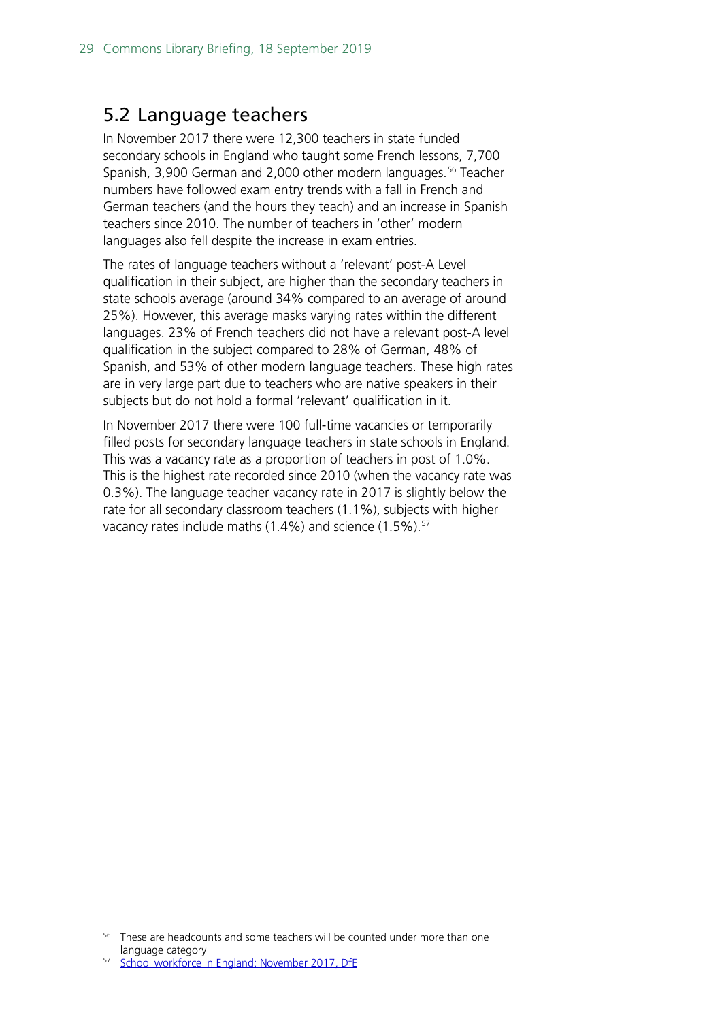### <span id="page-28-0"></span>5.2 Language teachers

In November 2017 there were 12,300 teachers in state funded secondary schools in England who taught some French lessons, 7,700 Spanish, 3,900 German and 2,000 other modern languages.<sup>[56](#page-28-1)</sup> Teacher numbers have followed exam entry trends with a fall in French and German teachers (and the hours they teach) and an increase in Spanish teachers since 2010. The number of teachers in 'other' modern languages also fell despite the increase in exam entries.

The rates of language teachers without a 'relevant' post-A Level qualification in their subject, are higher than the secondary teachers in state schools average (around 34% compared to an average of around 25%). However, this average masks varying rates within the different languages. 23% of French teachers did not have a relevant post-A level qualification in the subject compared to 28% of German, 48% of Spanish, and 53% of other modern language teachers. These high rates are in very large part due to teachers who are native speakers in their subjects but do not hold a formal 'relevant' qualification in it.

In November 2017 there were 100 full-time vacancies or temporarily filled posts for secondary language teachers in state schools in England. This was a vacancy rate as a proportion of teachers in post of 1.0%. This is the highest rate recorded since 2010 (when the vacancy rate was 0.3%). The language teacher vacancy rate in 2017 is slightly below the rate for all secondary classroom teachers (1.1%), subjects with higher vacancy rates include maths (1.4%) and science (1.5%).<sup>[57](#page-28-2)</sup>

<span id="page-28-1"></span><sup>&</sup>lt;sup>56</sup> These are headcounts and some teachers will be counted under more than one language category

<span id="page-28-2"></span>[School workforce in England: November 2017, DfE](https://www.gov.uk/government/statistics/school-workforce-in-england-november-2017)